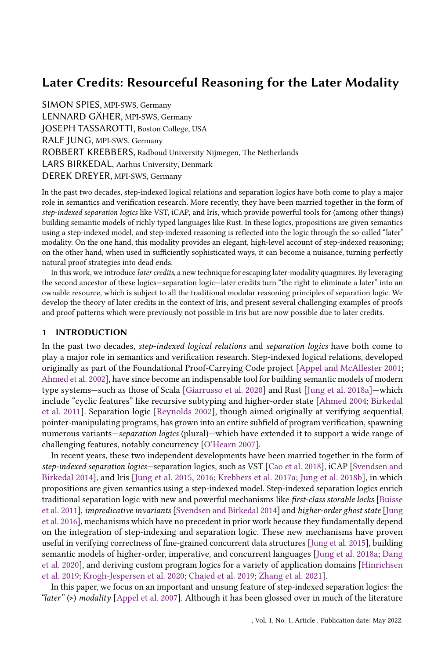SIMON SPIES, MPI-SWS, Germany LENNARD GÄHER, MPI-SWS, Germany JOSEPH TASSAROTTI, Boston College, USA RALF JUNG, MPI-SWS, Germany ROBBERT KREBBERS, Radboud University Nijmegen, The Netherlands LARS BIRKEDAL, Aarhus University, Denmark DEREK DREYER, MPI-SWS, Germany

In the past two decades, step-indexed logical relations and separation logics have both come to play a major role in semantics and verification research. More recently, they have been married together in the form of step-indexed separation logics like VST, iCAP, and Iris, which provide powerful tools for (among other things) building semantic models of richly typed languages like Rust. In these logics, propositions are given semantics using a step-indexed model, and step-indexed reasoning is reflected into the logic through the so-called "later" modality. On the one hand, this modality provides an elegant, high-level account of step-indexed reasoning; on the other hand, when used in sufficiently sophisticated ways, it can become a nuisance, turning perfectly natural proof strategies into dead ends.

In this work, we introduce later credits, a new technique for escaping later-modality quagmires. By leveraging the second ancestor of these logics—separation logic—later credits turn "the right to eliminate a later" into an ownable resource, which is subject to all the traditional modular reasoning principles of separation logic. We develop the theory of later credits in the context of Iris, and present several challenging examples of proofs and proof patterns which were previously not possible in Iris but are now possible due to later credits.

## <span id="page-0-0"></span>1 INTRODUCTION

In the past two decades, step-indexed logical relations and separation logics have both come to play a major role in semantics and verification research. Step-indexed logical relations, developed originally as part of the Foundational Proof-Carrying Code project [\[Appel and McAllester](#page-25-0) [2001;](#page-25-0) [Ahmed et al.](#page-25-1) [2002\]](#page-25-1), have since become an indispensable tool for building semantic models of modern type systems—such as those of Scala [\[Giarrusso et al.](#page-26-0) [2020\]](#page-26-0) and Rust [\[Jung et al.](#page-26-1) [2018a\]](#page-26-1)—which include "cyclic features" like recursive subtyping and higher-order state [\[Ahmed](#page-25-2) [2004;](#page-25-2) [Birkedal](#page-25-3) [et al.](#page-25-3) [2011\]](#page-25-3). Separation logic [\[Reynolds](#page-26-2) [2002\]](#page-26-2), though aimed originally at verifying sequential, pointer-manipulating programs, has grown into an entire subfield of program verification, spawning numerous variants—separation logics (plural)—which have extended it to support a wide range of challenging features, notably concurrency [\[O'Hearn](#page-26-3) [2007\]](#page-26-3).

In recent years, these two independent developments have been married together in the form of step-indexed separation logics—separation logics, such as VST [\[Cao et al.](#page-25-4) [2018\]](#page-25-4), iCAP [\[Svendsen and](#page-27-0) [Birkedal](#page-27-0) [2014\]](#page-27-0), and Iris [\[Jung et al.](#page-26-4) [2015,](#page-26-4) [2016;](#page-26-5) [Krebbers et al.](#page-26-6) [2017a;](#page-26-6) [Jung et al.](#page-26-7) [2018b\]](#page-26-7), in which propositions are given semantics using a step-indexed model. Step-indexed separation logics enrich traditional separation logic with new and powerful mechanisms like first-class storable locks [\[Buisse](#page-25-5) [et al.](#page-25-5) [2011\]](#page-25-5), impredicative invariants [\[Svendsen and Birkedal](#page-27-0) [2014\]](#page-27-0) and higher-order ghost state [\[Jung](#page-26-5) [et al.](#page-26-5) [2016\]](#page-26-5), mechanisms which have no precedent in prior work because they fundamentally depend on the integration of step-indexing and separation logic. These new mechanisms have proven useful in verifying correctness of fine-grained concurrent data structures [\[Jung et al.](#page-26-4) [2015\]](#page-26-4), building semantic models of higher-order, imperative, and concurrent languages [\[Jung et al.](#page-26-1) [2018a;](#page-26-1) [Dang](#page-25-6) [et al.](#page-25-6) [2020\]](#page-25-6), and deriving custom program logics for a variety of application domains [\[Hinrichsen](#page-26-8) [et al.](#page-26-8) [2019;](#page-26-8) [Krogh-Jespersen et al.](#page-26-9) [2020;](#page-26-9) [Chajed et al.](#page-25-7) [2019;](#page-25-7) [Zhang et al.](#page-27-1) [2021\]](#page-27-1).

In this paper, we focus on an important and unsung feature of step-indexed separation logics: the "later" (⊲) modality [\[Appel et al.](#page-25-8) [2007\]](#page-25-8). Although it has been glossed over in much of the literature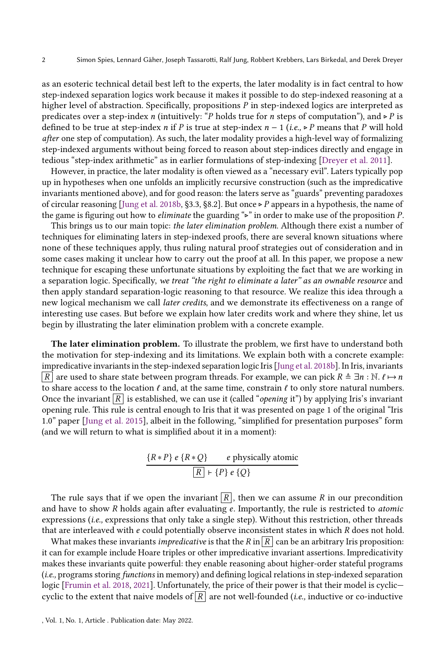as an esoteric technical detail best left to the experts, the later modality is in fact central to how step-indexed separation logics work because it makes it possible to do step-indexed reasoning at a higher level of abstraction. Specifically, propositions  $P$  in step-indexed logics are interpreted as predicates over a step-index *n* (intuitively: "*P* holds true for *n* steps of computation"), and ⊳ *P* is defined to be true at step-index *n* if *P* is true at step-index  $n - 1$  (*i.e.*,  $\triangleright$  *P* means that *P* will hold after one step of computation). As such, the later modality provides a high-level way of formalizing step-indexed arguments without being forced to reason about step-indices directly and engage in tedious "step-index arithmetic" as in earlier formulations of step-indexing [\[Dreyer et al.](#page-25-9) [2011\]](#page-25-9).

However, in practice, the later modality is often viewed as a "necessary evil". Laters typically pop up in hypotheses when one unfolds an implicitly recursive construction (such as the impredicative invariants mentioned above), and for good reason: the laters serve as "guards" preventing paradoxes of circular reasoning [\[Jung et al.](#page-26-7) [2018b,](#page-26-7) §3.3, §8.2]. But once ⊳  $P$  appears in a hypothesis, the name of the game is figuring out how to *eliminate* the guarding " $\triangleright$ " in order to make use of the proposition P.

This brings us to our main topic: the later elimination problem. Although there exist a number of techniques for eliminating laters in step-indexed proofs, there are several known situations where none of these techniques apply, thus ruling natural proof strategies out of consideration and in some cases making it unclear how to carry out the proof at all. In this paper, we propose a new technique for escaping these unfortunate situations by exploiting the fact that we are working in a separation logic. Specifically, we treat "the right to eliminate a later" as an ownable resource and then apply standard separation-logic reasoning to that resource. We realize this idea through a new logical mechanism we call later credits, and we demonstrate its effectiveness on a range of interesting use cases. But before we explain how later credits work and where they shine, let us begin by illustrating the later elimination problem with a concrete example.

The later elimination problem. To illustrate the problem, we first have to understand both the motivation for step-indexing and its limitations. We explain both with a concrete example: impredicative invariants in the step-indexed separation logic Iris [\[Jung et al.](#page-26-7) [2018b\]](#page-26-7). In Iris, invariants  $|R|$  are used to share state between program threads. For example, we can pick  $R \triangleq \exists n : \mathbb{N}$ .  $\ell \mapsto n$ to share access to the location  $\ell$  and, at the same time, constrain  $\ell$  to only store natural numbers. Once the invariant  $\overline{R}$  is established, we can use it (called "*opening* it") by applying Iris's invariant opening rule. This rule is central enough to Iris that it was presented on page 1 of the original "Iris 1.0" paper [\[Jung et al.](#page-26-4) [2015\]](#page-26-4), albeit in the following, "simplified for presentation purposes" form (and we will return to what is simplified about it in a moment):

$$
\frac{\{R * P\} e \{R * Q\}}{[R] + \{P\} e \{Q\}}
$$

The rule says that if we open the invariant  $\overline{R}$ , then we can assume R in our precondition and have to show  $R$  holds again after evaluating  $e$ . Importantly, the rule is restricted to *atomic* expressions (i.e., expressions that only take a single step). Without this restriction, other threads that are interleaved with  $e$  could potentially observe inconsistent states in which  $R$  does not hold.

What makes these invariants *impredicative* is that the  $R \ln |R|$  can be an arbitrary Iris proposition: it can for example include Hoare triples or other impredicative invariant assertions. Impredicativity makes these invariants quite powerful: they enable reasoning about higher-order stateful programs (i.e., programs storing functions in memory) and defining logical relations in step-indexed separation logic [\[Frumin et al.](#page-26-10) [2018,](#page-26-10) [2021\]](#page-26-11). Unfortunately, the price of their power is that their model is cyclic cyclic to the extent that naive models of  $\overline{R}$  are not well-founded (*i.e.*, inductive or co-inductive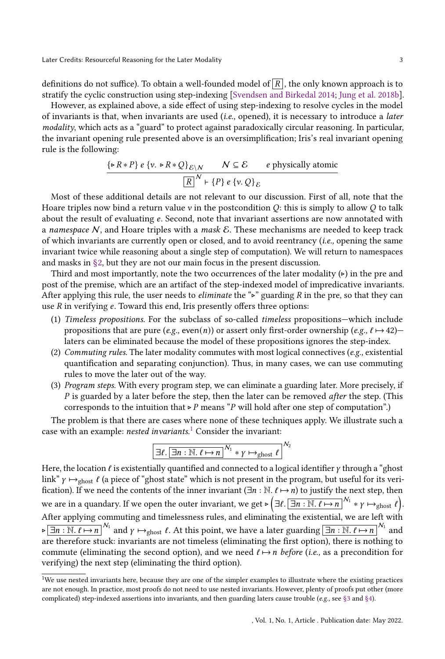definitions do not suffice). To obtain a well-founded model of  $\overline{R}$ , the only known approach is to stratify the cyclic construction using step-indexing [\[Svendsen and Birkedal](#page-27-0) [2014;](#page-27-0) [Jung et al.](#page-26-7) [2018b\]](#page-26-7).

However, as explained above, a side effect of using step-indexing to resolve cycles in the model of invariants is that, when invariants are used (i.e., opened), it is necessary to introduce a later modality, which acts as a "guard" to protect against paradoxically circular reasoning. In particular, the invariant opening rule presented above is an oversimplification; Iris's real invariant opening rule is the following:

$$
\frac{\{ \triangleright R * P \} \, e \, \{ \nu. \triangleright R * Q \}_{\mathcal{E} \setminus N} \qquad N \subseteq \mathcal{E} \qquad e \text{ physically atomic}}{\boxed{R}^N \vdash \{ P \} \, e \, \{ \nu. Q \}_{\mathcal{E}}}
$$

Most of these additional details are not relevant to our discussion. First of all, note that the Hoare triples now bind a return value  $\nu$  in the postcondition  $\Omega$ : this is simply to allow  $\Omega$  to talk about the result of evaluating  $e$ . Second, note that invariant assertions are now annotated with a namespace  $N$ , and Hoare triples with a mask  $\mathcal E$ . These mechanisms are needed to keep track of which invariants are currently open or closed, and to avoid reentrancy (i.e., opening the same invariant twice while reasoning about a single step of computation). We will return to namespaces and masks in [§2,](#page-4-0) but they are not our main focus in the present discussion.

Third and most importantly, note the two occurrences of the later modality  $(\triangleright)$  in the pre and post of the premise, which are an artifact of the step-indexed model of impredicative invariants. After applying this rule, the user needs to *eliminate* the "⊳" guarding R in the pre, so that they can use  $R$  in verifying  $e$ . Toward this end, Iris presently offers three options:

- (1) Timeless propositions. For the subclass of so-called timeless propositions—which include propositions that are pure  $(e.g., even(n))$  or assert only first-order ownership  $(e.g., \ell \mapsto 42)$  laters can be eliminated because the model of these propositions ignores the step-index.
- (2) Commuting rules. The later modality commutes with most logical connectives (e.g., existential quantification and separating conjunction). Thus, in many cases, we can use commuting rules to move the later out of the way.
- (3) Program steps. With every program step, we can eliminate a guarding later. More precisely, if  *is guarded by a later before the step, then the later can be removed <i>after* the step. (This corresponds to the intuition that ⊳  $P$  means " $P$  will hold after one step of computation".)

The problem is that there are cases where none of these techniques apply. We illustrate such a case with an example: nested invariants. [1](#page-2-0) Consider the invariant:



Here, the location  $\ell$  is existentially quantified and connected to a logical identifier  $\gamma$  through a "ghost link"  $\gamma \mapsto_{\text{ghost}} \ell$  (a piece of "ghost state" which is not present in the program, but useful for its verification). If we need the contents of the inner invariant  $(\exists n : \mathbb{N} \cdot \ell \mapsto n)$  to justify the next step, then we are in a quandary. If we open the outer invariant, we get ⊳  $\left(\exists \ell, \boxed{\exists n : \mathbb{N}.\ell \mapsto n} \middle|^{N_1} * \gamma \mapsto_{\text{ghost}} \ell\right)$ . After applying commuting and timelessness rules, and eliminating the existential, we are left with  $\sqrt{\frac{1}{2n} \cdot \mathbb{N} \cdot \ell \mapsto n}$ <sup>N<sub>1</sub></sup> and  $\gamma \mapsto_{\text{ghost}} \ell$ . At this point, we have a later guarding  $\sqrt{\frac{1}{2n} \cdot \mathbb{N} \cdot \ell \mapsto n}$ <sup>N<sub>1</sub></sup> and are therefore stuck: invariants are not timeless (eliminating the first option), there is nothing to commute (eliminating the second option), and we need  $\ell \mapsto n$  before (i.e., as a precondition for verifying) the next step (eliminating the third option).

<span id="page-2-0"></span><sup>&</sup>lt;sup>1</sup>We use nested invariants here, because they are one of the simpler examples to illustrate where the existing practices are not enough. In practice, most proofs do not need to use nested invariants. However, plenty of proofs put other (more complicated) step-indexed assertions into invariants, and then guarding laters cause trouble (e.g., see [§3](#page-8-0) and [§4\)](#page-14-0).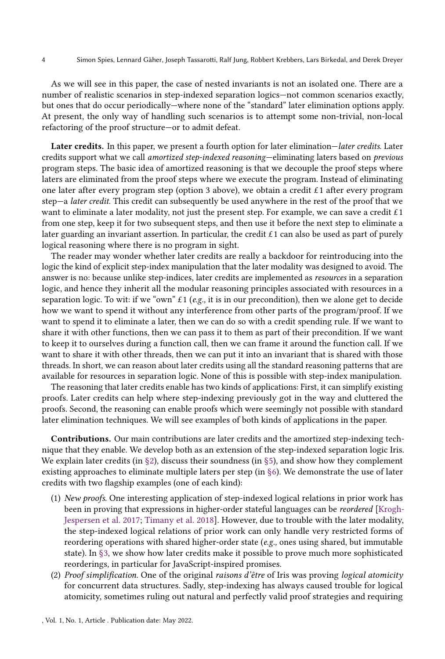As we will see in this paper, the case of nested invariants is not an isolated one. There are a number of realistic scenarios in step-indexed separation logics—not common scenarios exactly, but ones that do occur periodically—where none of the "standard" later elimination options apply. At present, the only way of handling such scenarios is to attempt some non-trivial, non-local refactoring of the proof structure—or to admit defeat.

Later credits. In this paper, we present a fourth option for later elimination—later credits. Later credits support what we call amortized step-indexed reasoning—eliminating laters based on previous program steps. The basic idea of amortized reasoning is that we decouple the proof steps where laters are eliminated from the proof steps where we execute the program. Instead of eliminating one later after every program step (option 3 above), we obtain a credit  $\epsilon$ 1 after every program step—a later credit. This credit can subsequently be used anywhere in the rest of the proof that we want to eliminate a later modality, not just the present step. For example, we can save a credit  $\mathcal{E}1$ from one step, keep it for two subsequent steps, and then use it before the next step to eliminate a later guarding an invariant assertion. In particular, the credit  $\pounds 1$  can also be used as part of purely logical reasoning where there is no program in sight.

The reader may wonder whether later credits are really a backdoor for reintroducing into the logic the kind of explicit step-index manipulation that the later modality was designed to avoid. The answer is no: because unlike step-indices, later credits are implemented as resources in a separation logic, and hence they inherit all the modular reasoning principles associated with resources in a separation logic. To wit: if we "own"  $\mathcal{L}1$  (e.g., it is in our precondition), then we alone get to decide how we want to spend it without any interference from other parts of the program/proof. If we want to spend it to eliminate a later, then we can do so with a credit spending rule. If we want to share it with other functions, then we can pass it to them as part of their precondition. If we want to keep it to ourselves during a function call, then we can frame it around the function call. If we want to share it with other threads, then we can put it into an invariant that is shared with those threads. In short, we can reason about later credits using all the standard reasoning patterns that are available for resources in separation logic. None of this is possible with step-index manipulation.

The reasoning that later credits enable has two kinds of applications: First, it can simplify existing proofs. Later credits can help where step-indexing previously got in the way and cluttered the proofs. Second, the reasoning can enable proofs which were seemingly not possible with standard later elimination techniques. We will see examples of both kinds of applications in the paper.

Contributions. Our main contributions are later credits and the amortized step-indexing technique that they enable. We develop both as an extension of the step-indexed separation logic Iris. We explain later credits (in  $\S 2$ ), discuss their soundness (in  $\S 5$ ), and show how they complement existing approaches to eliminate multiple laters per step (in [§6\)](#page-22-0). We demonstrate the use of later credits with two flagship examples (one of each kind):

- (1) New proofs. One interesting application of step-indexed logical relations in prior work has been in proving that expressions in higher-order stateful languages can be reordered [\[Krogh-](#page-26-12)[Jespersen et al.](#page-26-12) [2017;](#page-26-12) [Timany et al.](#page-27-2) [2018\]](#page-27-2). However, due to trouble with the later modality, the step-indexed logical relations of prior work can only handle very restricted forms of reordering operations with shared higher-order state ( $e.g.,$  ones using shared, but immutable state). In [§3,](#page-8-0) we show how later credits make it possible to prove much more sophisticated reorderings, in particular for JavaScript-inspired promises.
- (2) Proof simplification. One of the original raisons d'être of Iris was proving logical atomicity for concurrent data structures. Sadly, step-indexing has always caused trouble for logical atomicity, sometimes ruling out natural and perfectly valid proof strategies and requiring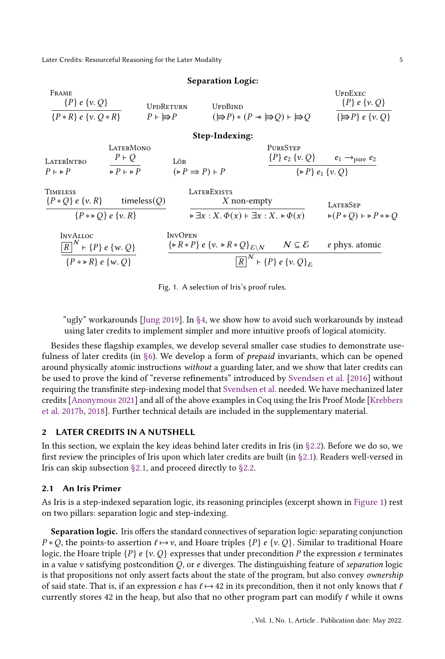<span id="page-4-3"></span><span id="page-4-2"></span>**FRAME** 

#### <span id="page-4-5"></span><span id="page-4-4"></span>Separation Logic:

| <b>INTIVIE</b>               |                       |                                                              | <i>UEBRAB</i> U.               |
|------------------------------|-----------------------|--------------------------------------------------------------|--------------------------------|
| $\{P\} e \{v, Q\}$           | UpdReturn             | <b>UPDBIND</b>                                               | $\{P\} e \{v, Q\}$             |
| $\{P * R\}$ e $\{v, Q * R\}$ | $P \vdash \implies P$ | $(\Rightarrow P) * (P * \Rightarrow Q) \vdash \Rightarrow Q$ | $\{\Rightarrow P\} e \{v, Q\}$ |

#### <span id="page-4-12"></span><span id="page-4-11"></span><span id="page-4-7"></span>Step-Indexing:

<span id="page-4-14"></span><span id="page-4-10"></span>

| <b>LATERINTRO</b>                                               | <b>LATERMONO</b><br>$P \vdash Q$       | LÖB                                                                                                             | <b>PURESTEP</b><br>$\{P\}$ $e_2$ $\{v, Q\}$ | $e_1 \rightarrow_{pure} e_2$                                        |
|-----------------------------------------------------------------|----------------------------------------|-----------------------------------------------------------------------------------------------------------------|---------------------------------------------|---------------------------------------------------------------------|
| $P \vdash P$                                                    | $\triangleright$ P $\triangleright$ P  | $(P \Rightarrow P) + P$                                                                                         |                                             | $\{ \triangleright P \}$ $e_1$ $\{ v, Q \}$                         |
| Timeless<br>$\{P * Q\}$ e $\{v, R\}$                            | timeless $(Q)$                         | <b>LATEREXISTS</b><br>$X$ non-empty                                                                             |                                             | <b>LATERSEP</b>                                                     |
|                                                                 | ${P \ast \triangleright Q} e \{v, R\}$ | $\triangleright \exists x : X \cdot \Phi(x) \vdash \exists x : X \cdot \triangleright \Phi(x)$                  |                                             | $\triangleright (P * Q) \vdash \triangleright P * \triangleright Q$ |
| <b>INVALLOC</b><br>$\left[\overline{R}\right]^N$ + {P} e {w. Q} |                                        | <b>INVOPEN</b><br>$\{ \triangleright R * P \}$ $e \{ v \cdot \triangleright R * Q \}_{\mathcal{E} \setminus N}$ | $N \subseteq \mathcal{E}$                   | e phys. atomic                                                      |
| ${P * \triangleright R} e \{w, Q\}$                             |                                        | $\overline{R}^N$ .                                                                                              | $\vdash \{P\}$ e {v, Q} $_{\mathcal{E}}$    |                                                                     |

<span id="page-4-9"></span>Fig. 1. A selection of Iris's proof rules.

"ugly" workarounds [\[Jung](#page-26-13) [2019\]](#page-26-13). In [§4,](#page-14-0) we show how to avoid such workarounds by instead using later credits to implement simpler and more intuitive proofs of logical atomicity.

Besides these flagship examples, we develop several smaller case studies to demonstrate usefulness of later credits (in  $\S6$ ). We develop a form of *prepaid* invariants, which can be opened around physically atomic instructions without a guarding later, and we show that later credits can be used to prove the kind of "reverse refinements" introduced by [Svendsen et al.](#page-27-3) [\[2016\]](#page-27-3) without requiring the transfinite step-indexing model that [Svendsen et al.](#page-27-3) needed. We have mechanized later credits [\[Anonymous](#page-25-10) [2021\]](#page-25-10) and all of the above examples in Coq using the Iris Proof Mode [\[Krebbers](#page-26-14) [et al.](#page-26-14) [2017b,](#page-26-14) [2018\]](#page-26-15). Further technical details are included in the supplementary material.

#### <span id="page-4-0"></span>2 LATER CREDITS IN A NUTSHELL

In this section, we explain the key ideas behind later credits in Iris (in [§2.2\)](#page-7-0). Before we do so, we first review the principles of Iris upon which later credits are built (in [§2.1\)](#page-4-1). Readers well-versed in Iris can skip subsection  $\S 2.1$ , and proceed directly to  $\S 2.2$ .

#### <span id="page-4-1"></span>2.1 An Iris Primer

As Iris is a step-indexed separation logic, its reasoning principles (excerpt shown in [Figure 1\)](#page-4-2) rest on two pillars: separation logic and step-indexing.

Separation logic. Iris offers the standard connectives of separation logic: separating conjunction  $P * Q$ , the points-to assertion  $\ell \mapsto v$ , and Hoare triples  $\{P\} e \{v, Q\}$ . Similar to traditional Hoare logic, the Hoare triple  ${P}$   ${e \{v, Q\}}$  expresses that under precondition P the expression  $e$  terminates in a value v satisfying postcondition  $Q$ , or  $e$  diverges. The distinguishing feature of separation logic is that propositions not only assert facts about the state of the program, but also convey ownership of said state. That is, if an expression  $e$  has  $\ell \mapsto 42$  in its precondition, then it not only knows that  $\ell$ currently stores 42 in the heap, but also that no other program part can modify  $\ell$  while it owns

<span id="page-4-13"></span><span id="page-4-8"></span><span id="page-4-6"></span> $I$ Ipp $F$ ve $c$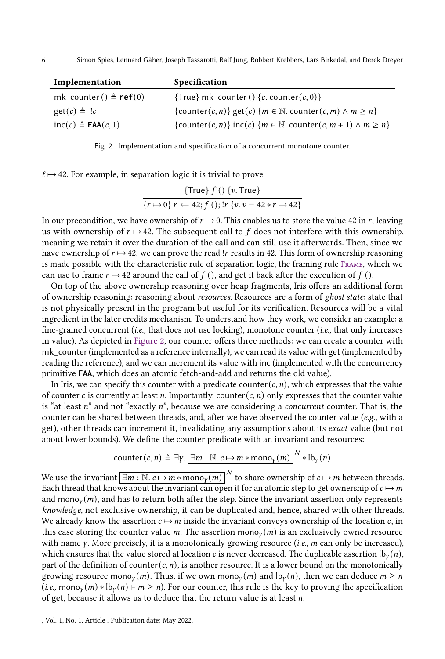<span id="page-5-0"></span>

| Implementation                       | Specification                                                                         |
|--------------------------------------|---------------------------------------------------------------------------------------|
| mk_counter () $\triangleq$ ref(0)    | $\{True\}$ mk counter () {c. counter(c, 0)}                                           |
| $get(c) \triangleq !c$               | {counter(c, n)} get(c) { $m \in \mathbb{N}$ . counter(c, m) $\land$ $m \ge n$ }       |
| $inc(c) \triangleq \text{FAA}(c, 1)$ | {counter(c, n)} inc(c) { $m \in \mathbb{N}$ . counter(c, $m + 1$ ) $\wedge m \ge n$ } |

Fig. 2. Implementation and specification of a concurrent monotone counter.

 $\ell \mapsto 42$ . For example, in separation logic it is trivial to prove

$$
\frac{\{\text{True}\} f () \{v.\text{True}\}}{\{r \mapsto 0\} r \leftarrow 42; f(), !r \{v. v = 42 * r \mapsto 42\}}
$$

In our precondition, we have ownership of  $r \mapsto 0$ . This enables us to store the value 42 in r, leaving us with ownership of  $r \mapsto 42$ . The subsequent call to f does not interfere with this ownership, meaning we retain it over the duration of the call and can still use it afterwards. Then, since we have ownership of  $r \mapsto 42$ , we can prove the read !r results in 42. This form of ownership reasoning is made possible with the characteristic rule of separation logic, the framing rule [Frame](#page-4-3), which we can use to frame  $r \mapsto 42$  around the call of  $f(.)$ , and get it back after the execution of  $f(.)$ .

On top of the above ownership reasoning over heap fragments, Iris offers an additional form of ownership reasoning: reasoning about resources. Resources are a form of ghost state: state that is not physically present in the program but useful for its verification. Resources will be a vital ingredient in the later credits mechanism. To understand how they work, we consider an example: a fine-grained concurrent (*i.e.*, that does not use locking), monotone counter (*i.e.*, that only increases in value). As depicted in [Figure 2,](#page-5-0) our counter offers three methods: we can create a counter with mk\_counter (implemented as a reference internally), we can read its value with get (implemented by reading the reference), and we can increment its value with inc (implemented with the concurrency primitive **FAA**, which does an atomic fetch-and-add and returns the old value).

In Iris, we can specify this counter with a predicate counter $(c, n)$ , which expresses that the value of counter c is currently at least n. Importantly, counter $(c, n)$  only expresses that the counter value is "at least  $n$ " and not "exactly  $n$ ", because we are considering a *concurrent* counter. That is, the counter can be shared between threads, and, after we have observed the counter value (e.g., with a get), other threads can increment it, invalidating any assumptions about its exact value (but not about lower bounds). We define the counter predicate with an invariant and resources:

$$
counter(c, n) \triangleq \exists \gamma. \left[ \exists m : \mathbb{N}. c \mapsto m * \text{mono}_{\gamma}(m) \right]^N * \mathsf{lb}_{\gamma}(n)
$$

We use the invariant  $\boxed{\exists m : \mathbb{N}. c \mapsto m * \text{mono}_Y(m)}^N$  to share ownership of  $c \mapsto m$  between threads. Each thread that knows about the invariant can open it for an atomic step to get ownership of  $c \mapsto m$ and mono $\varphi$ (*m*), and has to return both after the step. Since the invariant assertion only represents knowledge, not exclusive ownership, it can be duplicated and, hence, shared with other threads. We already know the assertion  $c \mapsto m$  inside the invariant conveys ownership of the location c, in this case storing the counter value m. The assertion mono<sub> $v$ </sub> (m) is an exclusively owned resource with name  $\gamma$ . More precisely, it is a monotonically growing resource (*i.e.*, *m* can only be increased), which ensures that the value stored at location c is never decreased. The duplicable assertion  $\mathbb{I}_{\mathcal{V}}(n)$ , part of the definition of counter $(c, n)$ , is another resource. It is a lower bound on the monotonically growing resource mono<sub>v</sub> $(m)$ . Thus, if we own mono<sub>v</sub> $(m)$  and  $lb_y(n)$ , then we can deduce  $m \ge n$ (*i.e.*, mono<sub>v</sub>(*m*)  $*$  lb<sub>v</sub>(*n*)  $\vdash$  *m*  $\geq$  *n*). For our counter, this rule is the key to proving the specification of get, because it allows us to deduce that the return value is at least  $n$ .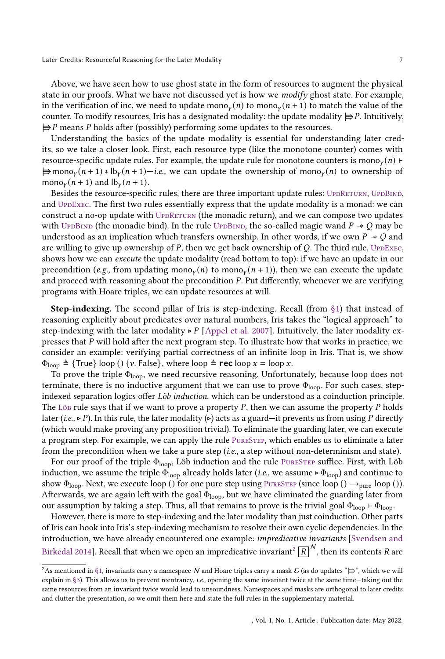Above, we have seen how to use ghost state in the form of resources to augment the physical state in our proofs. What we have not discussed yet is how we modify ghost state. For example, in the verification of inc, we need to update mono<sub>v</sub> $(n)$  to mono<sub>v</sub> $(n + 1)$  to match the value of the counter. To modify resources, Iris has a designated modality: the update modality  $\Rightarrow P$ . Intuitively,  $\Rightarrow$  P means P holds after (possibly) performing some updates to the resources.

Understanding the basics of the update modality is essential for understanding later credits, so we take a closer look. First, each resource type (like the monotone counter) comes with resource-specific update rules. For example, the update rule for monotone counters is mono $<sub>v</sub>(n)$  ⊢</sub>  $\Rightarrow$  mono<sub>r</sub> $(n+1) * lb<sub>r</sub>(n+1) - i.e.,$  we can update the ownership of mono<sub>r</sub> $(n)$  to ownership of mono<sub> $\gamma$ </sub> $(n + 1)$  and  $\text{lb}_\gamma$  $(n + 1)$ .

Besides the resource-specific rules, there are three important update rules: UPDRETURN, UPDBIND, and [UpdExec](#page-4-6). The first two rules essentially express that the update modality is a monad: we can construct a no-op update with UPDRETURN (the monadic return), and we can compose two updates with UppBIND (the monadic bind). In the rule UppBIND, the so-called magic wand  $P \star Q$  may be understood as an implication which transfers ownership. In other words, if we own  $P \star Q$  and are willing to give up ownership of  $P$ , then we get back ownership of  $Q$ . The third rule, UppExec, shows how we can execute the update modality (read bottom to top): if we have an update in our precondition (e.g., from updating mono<sub>v</sub>(n) to mono<sub>v</sub>(n+1)), then we can execute the update and proceed with reasoning about the precondition  $P$ . Put differently, whenever we are verifying programs with Hoare triples, we can update resources at will.

**Step-indexing.** The second pillar of Iris is step-indexing. Recall (from  $\S$ 1) that instead of reasoning explicitly about predicates over natural numbers, Iris takes the "logical approach" to step-indexing with the later modality ⊳  $P$  [\[Appel et al.](#page-25-8) [2007\]](#page-25-8). Intuitively, the later modality expresses that  $P$  will hold after the next program step. To illustrate how that works in practice, we consider an example: verifying partial correctness of an infinite loop in Iris. That is, we show  $\Phi_{\text{loop}} \triangleq$  {True} loop () {v. False}, where loop  $\triangleq$  **rec** loop  $x = \text{loop } x$ .

To prove the triple  $\Phi_{\text{loop}}$ , we need recursive reasoning. Unfortunately, because loop does not terminate, there is no inductive argument that we can use to prove  $\Phi_{\text{loop}}$ . For such cases, stepindexed separation logics offer Löb induction, which can be understood as a coinduction principle. The [Löb](#page-4-7) rule says that if we want to prove a property  $P$ , then we can assume the property  $P$  holds later (*i.e.*, ⊳ P). In this rule, the later modality (►) acts as a guard—it prevents us from using P directly (which would make proving any proposition trivial). To eliminate the guarding later, we can execute a program step. For example, we can apply the rule [PureStep](#page-4-8), which enables us to eliminate a later from the precondition when we take a pure step (i.e., a step without non-determinism and state).

For our proof of the triple  $\Phi_{\text{loop}}$ , Löb induction and the rule PURESTEP suffice. First, with Löb induction, we assume the triple  $\Phi_{\text{loop}}$  already holds later (i.e., we assume ⊳  $\Phi_{\text{loop}}$ ) and continue to show  $\Phi_{\text{loop}}$ . Next, we execute loop () for one pure step using PURESTEP (since loop ()  $\rightarrow_{\text{pure}}$  loop ()). Afterwards, we are again left with the goal  $\Phi_{\text{loop}}$ , but we have eliminated the guarding later from our assumption by taking a step. Thus, all that remains to prove is the trivial goal  $\Phi_{\text{loop}} \vdash \Phi_{\text{loop}}$ .

However, there is more to step-indexing and the later modality than just coinduction. Other parts of Iris can hook into Iris's step-indexing mechanism to resolve their own cyclic dependencies. In the introduction, we have already encountered one example: impredicative invariants [\[Svendsen and](#page-27-0) [Birkedal](#page-27-0) [2014\]](#page-27-0). Recall that when we open an impredicative invariant $^2$  $^2$   $\overline{R}$   $\vert^N$  , then its contents  $R$  are

<span id="page-6-0"></span><sup>&</sup>lt;sup>2</sup>As mentioned in [§1,](#page-0-0) invariants carry a namespace  $N$  and Hoare triples carry a mask  $\mathcal E$  (as do updates " $\Rightarrow$ ", which we will explain in [§3\)](#page-8-0). This allows us to prevent reentrancy, i.e., opening the same invariant twice at the same time—taking out the same resources from an invariant twice would lead to unsoundness. Namespaces and masks are orthogonal to later credits and clutter the presentation, so we omit them here and state the full rules in the supplementary material.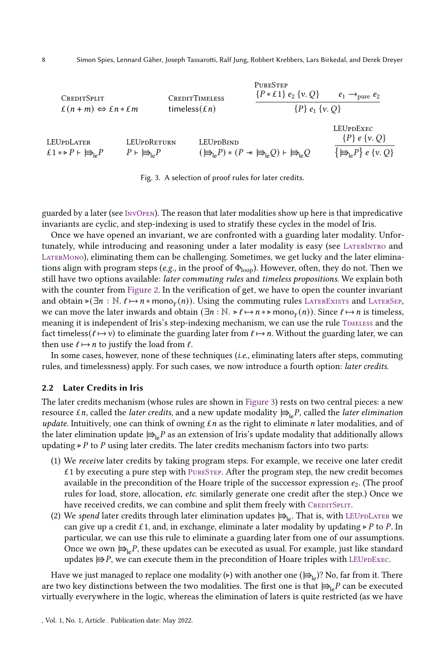8 Simon Spies, Lennard Gäher, Joseph Tassarotti, Ralf Jung, Robbert Krebbers, Lars Birkedal, and Derek Dreyer

<span id="page-7-3"></span><span id="page-7-1"></span>

<span id="page-7-7"></span><span id="page-7-6"></span><span id="page-7-5"></span><span id="page-7-4"></span><span id="page-7-2"></span>Fig. 3. A selection of proof rules for later credits.

guarded by a later (see [InvOpen](#page-4-9)). The reason that later modalities show up here is that impredicative invariants are cyclic, and step-indexing is used to stratify these cycles in the model of Iris.

Once we have opened an invariant, we are confronted with a guarding later modality. Unfortunately, while introducing and reasoning under a later modality is easy (see [LaterIntro](#page-4-10) and [LaterMono](#page-4-11)), eliminating them can be challenging. Sometimes, we get lucky and the later eliminations align with program steps (e.g., in the proof of  $\Phi_{\text{loop}}$ ). However, often, they do not. Then we still have two options available: later commuting rules and timeless propositions. We explain both with the counter from [Figure 2.](#page-5-0) In the verification of get, we have to open the counter invariant and obtain  $\triangleright$ ( $\exists n : \mathbb{N}$ .  $\ell \mapsto n * \text{mono}_{\nu}(n)$ ). Using the commuting rules LATEREXISTS and LATERSEP, we can move the later inwards and obtain  $(\exists n : \mathbb{N} \rightarrow \ell \mapsto n \ast \rightarrow \mathbb{N} \text{ mon}_{\mathcal{V}}(n))$ . Since  $\ell \mapsto n$  is timeless, meaning it is independent of Iris's step-indexing mechanism, we can use the rule TIMELESS and the fact timeless( $\ell \mapsto \nu$ ) to eliminate the guarding later from  $\ell \mapsto n$ . Without the guarding later, we can then use  $\ell \mapsto n$  to justify the load from  $\ell$ .

In some cases, however, none of these techniques (i.e., eliminating laters after steps, commuting rules, and timelessness) apply. For such cases, we now introduce a fourth option: later credits.

#### <span id="page-7-0"></span>2.2 Later Credits in Iris

The later credits mechanism (whose rules are shown in [Figure 3\)](#page-7-1) rests on two central pieces: a new resource  $\epsilon n$ , called the *later credits*, and a new update modality  $\bigoplus_{i \in P}$ , called the *later elimination* update. Intuitively, one can think of owning  $\pounds n$  as the right to eliminate *n* later modalities, and of the later elimination update  $\bigoplus_{i \in P} a$ s an extension of Iris's update modality that additionally allows updating  $> P$  to P using later credits. The later credits mechanism factors into two parts:

- (1) We receive later credits by taking program steps. For example, we receive one later credit  $£1$  by executing a pure step with PURESTEP. After the program step, the new credit becomes available in the precondition of the Hoare triple of the successor expression  $e_2$ . (The proof rules for load, store, allocation, etc. similarly generate one credit after the step.) Once we have received credits, we can combine and split them freely with CREDITSPLIT.
- (2) We spend later credits through later elimination updates  $\bigoplus_{\mathsf{I}e}$ . That is, with LEUPDLATER we can give up a credit £1, and, in exchange, eliminate a later modality by updating ⊳ P to P. In particular, we can use this rule to eliminate a guarding later from one of our assumptions. Once we own  $\bigoplus_{i} P$ , these updates can be executed as usual. For example, just like standard updates  $\Rightarrow P$ , we can execute them in the precondition of Hoare triples with LEUPDExec.

Have we just managed to replace one modality (►) with another one ( $\bigoplus_{k}$ ? No, far from it. There are two key distinctions between the two modalities. The first one is that  $\bigoplus_{\text{le}} P$  can be executed virtually everywhere in the logic, whereas the elimination of laters is quite restricted (as we have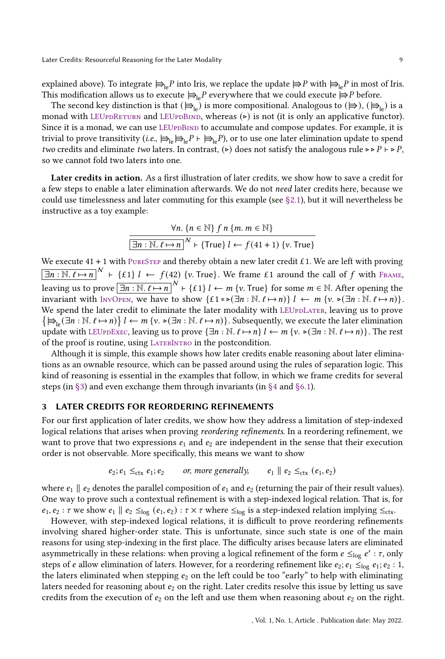explained above). To integrate  $\bigoplus_{i} P$  into Iris, we replace the update  $\bigoplus P$  with  $\bigoplus_{i} P$  in most of Iris. This modification allows us to execute  $\bigoplus_{i} P$  everywhere that we could execute  $\bigoplus P$  before.

The second key distinction is that  $(\bigoplus_{j \in \mathcal{I}} \mathbf{S}_j)$  is more compositional. Analogous to  $(\bigoplus_j, (\bigoplus_j)$  is a monad with LEUpDRETURN and LEUpDBIND, whereas (►) is not (it is only an applicative functor). Since it is a monad, we can use LEUPDBIND to accumulate and compose updates. For example, it is trivial to prove transitivity (i.e.,  $\Rightarrow_{\vert e} \Rightarrow_{\vert e} P \vdash \Rightarrow_{\vert e} P$ ), or to use one later elimination update to spend two credits and eliminate two laters. In contrast, (►) does not satisfy the analogous rule ► ⊳  $P \vdash \triangleright P$ , so we cannot fold two laters into one.

Later credits in action. As a first illustration of later credits, we show how to save a credit for a few steps to enable a later elimination afterwards. We do not need later credits here, because we could use timelessness and later commuting for this example (see  $\S$ 2.1), but it will nevertheless be instructive as a toy example:

$$
\forall n. \{n \in \mathbb{N}\} \ f \ n \ \{m. \ m \in \mathbb{N}\}\
$$

$$
\overline{\exists n: \mathbb{N}. \ell \mapsto n}^{\mathcal{N}} \vdash \{\text{True}\} \ l \leftarrow f(41+1) \ \{v. \ \text{True}\}\
$$

We execute  $41 + 1$  with PURESTEP and thereby obtain a new later credit  $\pounds 1$ . We are left with proving  $\overline{\exists n : \mathbb{N}. \ell \mapsto n}$ <sup>N</sup>  $\vdash \{\epsilon 1\}$   $l \leftarrow f(42)$  {v. True}. We frame £1 around the call of  $f$  with [Frame](#page-4-3), leaving us to prove  $\boxed{\exists n : \mathbb{N}.\ell \mapsto n}^{\mathcal{N}}$  ⊦  $\{ \ell 1 \}$   $l \leftarrow m$  {v. True} for some  $m \in \mathbb{N}$ . After opening the invariant with INVOPEN, we have to show  $\{ \pounds 1 * \rightarrow (\exists n : \mathbb{N}, \ell \mapsto n) \}$   $l \leftarrow m \{ \nu \rightarrow (\exists n : \mathbb{N}, \ell \mapsto n) \}.$ We spend the later credit to eliminate the later modality with LEUPDLATER, leaving us to prove  $\{\overline{\mathcal{B}}_{\mathsf{le}}(\exists n : \mathbb{N}.\ell \mapsto n)\}\$   $l \leftarrow m \{v \in \exists n : \mathbb{N}.\ell \mapsto n)\}$ . Subsequently, we execute the later elimination update with LEUpDExec, leaving us to prove  $\{\exists n : \mathbb{N} \ldotp \ell \mapsto n\}$   $\ell \leftarrow m$   $\{v. \triangleright (\exists n : \mathbb{N} \ldotp \ell \mapsto n)\}$ . The rest of the proof is routine, using [LaterIntro](#page-4-10) in the postcondition.

Although it is simple, this example shows how later credits enable reasoning about later eliminations as an ownable resource, which can be passed around using the rules of separation logic. This kind of reasoning is essential in the examples that follow, in which we frame credits for several steps (in [§3\)](#page-8-0) and even exchange them through invariants (in [§4](#page-14-0) and [§6.1\)](#page-23-0).

#### <span id="page-8-0"></span>3 LATER CREDITS FOR REORDERING REFINEMENTS

For our first application of later credits, we show how they address a limitation of step-indexed logical relations that arises when proving *reordering refinements*. In a reordering refinement, we want to prove that two expressions  $e_1$  and  $e_2$  are independent in the sense that their execution order is not observable. More specifically, this means we want to show

$$
e_2
$$
;  $e_1 \leq_{\text{ctx}} e_1$ ;  $e_2$  or, more generally,  $e_1 \parallel e_2 \leq_{\text{ctx}} (e_1, e_2)$ 

where  $e_1 \parallel e_2$  denotes the parallel composition of  $e_1$  and  $e_2$  (returning the pair of their result values). One way to prove such a contextual refinement is with a step-indexed logical relation. That is, for  $e_1, e_2 : \tau$  we show  $e_1 \parallel e_2 \leq_{log} (e_1, e_2) : \tau \times \tau$  where  $\leq_{log}$  is a step-indexed relation implying  $\leq_{\text{ctx}}$ .

However, with step-indexed logical relations, it is difficult to prove reordering refinements involving shared higher-order state. This is unfortunate, since such state is one of the main reasons for using step-indexing in the first place. The difficulty arises because laters are eliminated asymmetrically in these relations: when proving a logical refinement of the form  $e \leq_{\log} e' : \tau$ , only steps of *e* allow elimination of laters. However, for a reordering refinement like  $e_2$ ;  $e_1 \leq_{log} e_1$ ;  $e_2$ : 1, the laters eliminated when stepping  $e_2$  on the left could be too "early" to help with eliminating laters needed for reasoning about  $e_2$  on the right. Later credits resolve this issue by letting us save credits from the execution of  $e_2$  on the left and use them when reasoning about  $e_2$  on the right.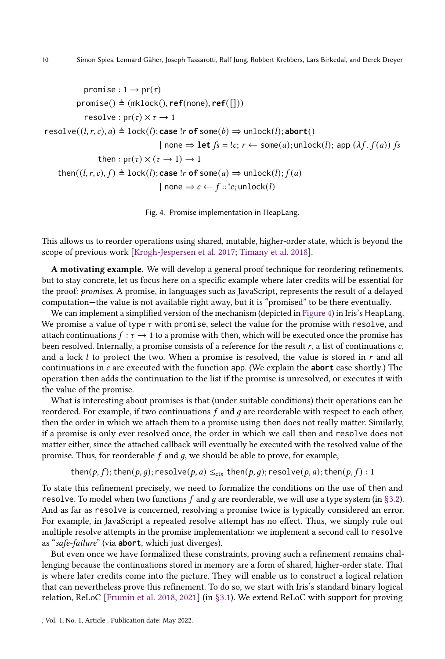```
promise : 1 \rightarrow pr(\tau)promise() ≜ (mklock(), ref(none), ref( []))
               resolve: pr(\tau) \times \tau \rightarrow 1resolve((l, r, c), a) \triangleq lock(l); \textbf{case}! \textbf{r of some}(b) \Rightarrow unlock(l); \textbf{abort}()| none \Rightarrow let fs = !c; r \leftarrow some(a); unlock(l); app (\lambda f. f(a)) fsthen : pr(\tau) \times (\tau \rightarrow 1) \rightarrow 1then((l, r, c), f) \triangleq lock(l); case !r of some(a) \Rightarrow unlock(l); f(a)| none \Rightarrow c \leftarrow f :: !c; unlock(l)
```
Fig. 4. Promise implementation in HeapLang.

This allows us to reorder operations using shared, mutable, higher-order state, which is beyond the scope of previous work [\[Krogh-Jespersen et al.](#page-26-12) [2017;](#page-26-12) [Timany et al.](#page-27-2) [2018\]](#page-27-2).

A motivating example. We will develop a general proof technique for reordering refinements, but to stay concrete, let us focus here on a specific example where later credits will be essential for the proof: promises. A promise, in languages such as JavaScript, represents the result of a delayed computation—the value is not available right away, but it is "promised" to be there eventually.

We can implement a simplified version of the mechanism (depicted in [Figure 4\)](#page-9-0) in Iris's HeapLang. We promise a value of type  $\tau$  with promise, select the value for the promise with resolve, and attach continuations  $f : \tau \to 1$  to a promise with then, which will be executed once the promise has been resolved. Internally, a promise consists of a reference for the result  $r$ , a list of continuations  $c$ , and a lock  $l$  to protect the two. When a promise is resolved, the value is stored in  $r$  and all continuations in  $c$  are executed with the function app. (We explain the **abort** case shortly.) The operation then adds the continuation to the list if the promise is unresolved, or executes it with the value of the promise.

What is interesting about promises is that (under suitable conditions) their operations can be reordered. For example, if two continuations  $f$  and  $g$  are reorderable with respect to each other, then the order in which we attach them to a promise using then does not really matter. Similarly, if a promise is only ever resolved once, the order in which we call then and resolve does not matter either, since the attached callback will eventually be executed with the resolved value of the promise. Thus, for reorderable  $f$  and  $g$ , we should be able to prove, for example,

then( $p$ ,  $f$ ); then( $p$ ,  $g$ ); resolve( $p$ ,  $a$ )  $\leq_{\text{ctx}}$  then( $p$ ,  $g$ ); resolve( $p$ ,  $a$ ); then( $p$ ,  $f$ ) : 1

To state this refinement precisely, we need to formalize the conditions on the use of then and resolve. To model when two functions  $f$  and  $g$  are reorderable, we will use a type system (in [§3.2\)](#page-11-0). And as far as resolve is concerned, resolving a promise twice is typically considered an error. For example, in JavaScript a repeated resolve attempt has no effect. Thus, we simply rule out multiple resolve attempts in the promise implementation: we implement a second call to resolve as "safe-failure" (via **abort**, which just diverges).

But even once we have formalized these constraints, proving such a refinement remains challenging because the continuations stored in memory are a form of shared, higher-order state. That is where later credits come into the picture. They will enable us to construct a logical relation that can nevertheless prove this refinement. To do so, we start with Iris's standard binary logical relation, ReLoC [\[Frumin et al.](#page-26-10) [2018,](#page-26-10) [2021\]](#page-26-11) (in [§3.1\)](#page-10-0). We extend ReLoC with support for proving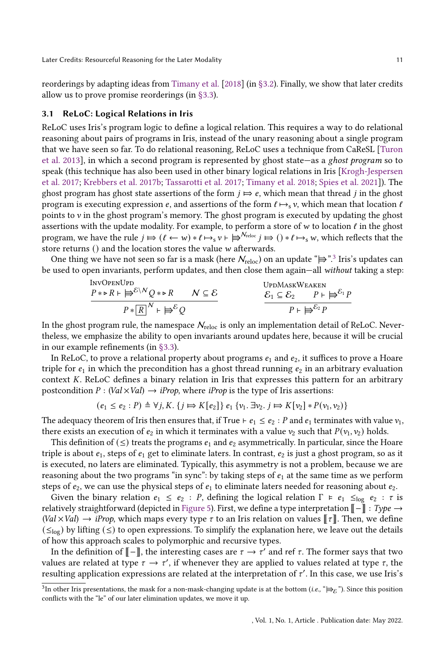reorderings by adapting ideas from [Timany et al.](#page-27-2) [\[2018\]](#page-27-2) (in [§3.2\)](#page-11-0). Finally, we show that later credits allow us to prove promise reorderings (in [§3.3\)](#page-12-0).

#### <span id="page-10-0"></span>3.1 ReLoC: Logical Relations in Iris

ReLoC uses Iris's program logic to define a logical relation. This requires a way to do relational reasoning about pairs of programs in Iris, instead of the unary reasoning about a single program that we have seen so far. To do relational reasoning, ReLoC uses a technique from CaReSL [\[Turon](#page-27-4) [et al.](#page-27-4) [2013\]](#page-27-4), in which a second program is represented by ghost state—as a ghost program so to speak (this technique has also been used in other binary logical relations in Iris [\[Krogh-Jespersen](#page-26-12) [et al.](#page-26-12) [2017;](#page-26-12) [Krebbers et al.](#page-26-14) [2017b;](#page-26-14) [Tassarotti et al.](#page-27-5) [2017;](#page-27-5) [Timany et al.](#page-27-2) [2018;](#page-27-2) [Spies et al.](#page-27-6) [2021\]](#page-27-6)). The ghost program has ghost state assertions of the form  $j \mapsto e$ , which mean that thread  $j$  in the ghost program is executing expression  $e$ , and assertions of the form  $\ell \mapsto_{s} v$ , which mean that location  $\ell$ points to  $v$  in the ghost program's memory. The ghost program is executed by updating the ghost assertions with the update modality. For example, to perform a store of  $w$  to location  $\ell$  in the ghost program, we have the rule  $j \mapsto (\ell \leftarrow w) * \ell \mapsto_s v \vdash \biguplus^{\mathcal{N}_{\text{reloc}}} j \mapsto (\ell \leftarrow s, w, \text{ which reflects that the})$ store returns () and the location stores the value  $w$  afterwards.

One thing we have not seen so far is a mask (here  $\mathcal{N}_{\text{reloc}}$ ) on an update " $\Rightarrow$ ".<sup>[3](#page-10-1)</sup> Iris's updates can be used to open invariants, perform updates, and then close them again—all without taking a step:

<span id="page-10-2"></span>InvOpenNPD

\n
$$
\frac{P * P R + \frac{1}{P} \mathcal{E} \setminus N Q * P R}{P * [R]} \qquad \qquad N \subseteq \mathcal{E}
$$
\nUpDMaskWEAREN

\n
$$
\frac{\mathcal{E}_1 \subseteq \mathcal{E}_2 \qquad P + \frac{1}{P} \mathcal{E}_1 P}{P + \frac{1}{P} \mathcal{E}_2 P}
$$

In the ghost program rule, the namespace  $N_{\text{reloc}}$  is only an implementation detail of ReLoC. Nevertheless, we emphasize the ability to open invariants around updates here, because it will be crucial in our example refinements (in [§3.3\)](#page-12-0).

In ReLoC, to prove a relational property about programs  $e_1$  and  $e_2$ , it suffices to prove a Hoare triple for  $e_1$  in which the precondition has a ghost thread running  $e_2$  in an arbitrary evaluation context  $K$ . ReLoC defines a binary relation in Iris that expresses this pattern for an arbitrary postcondition  $P : (Val \times Val) \rightarrow iProp$ , where  $iProp$  is the type of Iris assertions:

$$
(e_1 \le e_2 : P) \triangleq \forall j, K. \{j \mapsto K[e_2]\} \, e_1 \{v_1. \exists v_2. \, j \mapsto K[v_2] * P(v_1, v_2)\}
$$

The adequacy theorem of Iris then ensures that, if True ⊢  $e_1 \leq e_2$ : P and  $e_1$  terminates with value  $v_1$ , there exists an execution of  $e_2$  in which it terminates with a value  $v_2$  such that  $P(v_1, v_2)$  holds.

This definition of ( $\leq$ ) treats the programs  $e_1$  and  $e_2$  asymmetrically. In particular, since the Hoare triple is about  $e_1$ , steps of  $e_1$  get to eliminate laters. In contrast,  $e_2$  is just a ghost program, so as it is executed, no laters are eliminated. Typically, this asymmetry is not a problem, because we are reasoning about the two programs "in sync": by taking steps of  $e_1$  at the same time as we perform steps of  $e_2$ , we can use the physical steps of  $e_1$  to eliminate laters needed for reasoning about  $e_2$ .

Given the binary relation  $e_1 \le e_2$ : P, defining the logical relation  $\Gamma \models e_1 \le_{\log} e_2$ :  $\tau$  is relatively straightforward (depicted in [Figure 5\)](#page-11-1). First, we define a type interpretation  $\llbracket - \rrbracket$  : Type  $\rightarrow$ (Val × Val) → iProp, which maps every type  $\tau$  to an Iris relation on values  $\llbracket \tau \rrbracket$ . Then, we define  $(\leq_{log})$  by lifting  $(\leq)$  to open expressions. To simplify the explanation here, we leave out the details of how this approach scales to polymorphic and recursive types.

In the definition of  $\llbracket - \rrbracket$ , the interesting cases are  $τ \rightarrow τ'$  and ref  $τ$ . The former says that two values are related at type  $\tau \to \tau'$ , if whenever they are applied to values related at type  $\tau$ , the resulting application expressions are related at the interpretation of  $\tau'$ . In this case, we use Iris's

<span id="page-10-1"></span><sup>&</sup>lt;sup>3</sup>In other Iris presentations, the mask for a non-mask-changing update is at the bottom (i.e., " $\Rightarrow$  e"). Since this position conflicts with the "le" of our later elimination updates, we move it up.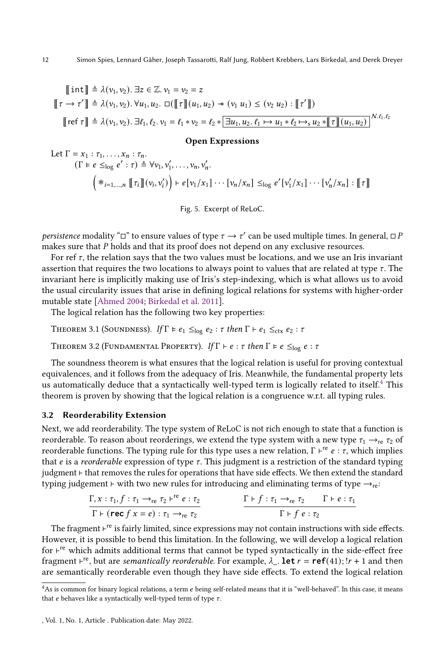<span id="page-11-1"></span>
$$
\begin{aligned}\n\llbracket \text{int} \rrbracket &\triangle \lambda(v_1, v_2). \exists z \in \mathbb{Z}. \, v_1 = v_2 = z \\
\llbracket \tau \to \tau' \rrbracket &\triangle \lambda(v_1, v_2). \, \forall u_1, u_2. \, \Box(\llbracket \tau \rrbracket (u_1, u_2) \twoheadrightarrow (v_1 \, u_1) \le (v_2 \, u_2) : \llbracket \tau' \rrbracket) \\
\llbracket \text{ref } \tau \rrbracket &\triangle \lambda(v_1, v_2). \, \exists t_1, t_2. \, v_1 = t_1 * v_2 = t_2 * \boxed{\exists u_1, u_2. \, t_1 \mapsto u_1 * t_2 \mapsto_s u_2 * \llbracket \tau \rrbracket (u_1, u_2)}\n\end{aligned}
$$
\n $N.t_1.t_2$ 

#### Open Expressions

Let 
$$
\Gamma = x_1 : \tau_1, \ldots, x_n : \tau_n
$$
.  
\n
$$
(\Gamma \models e \leq_{\log} e' : \tau) \triangleq \forall v_1, v'_1, \ldots, v_n, v'_n.
$$
\n
$$
\left(*_{i=1,\ldots,n} [\![\tau_i]\!](v_i, v'_i)\right) \vdash e[v_1/x_1] \cdots [v_n/x_n] \leq_{\log} e'[v'_1/x_1] \cdots [v'_n/x_n] : [\![\tau]\!]
$$

Fig. 5. Excerpt of ReLoC.

persistence modality "□" to ensure values of type  $\tau \to \tau'$  can be used multiple times. In general, □  $P$ makes sure that  $P$  holds and that its proof does not depend on any exclusive resources.

For ref  $\tau$ , the relation says that the two values must be locations, and we use an Iris invariant assertion that requires the two locations to always point to values that are related at type  $\tau$ . The invariant here is implicitly making use of Iris's step-indexing, which is what allows us to avoid the usual circularity issues that arise in defining logical relations for systems with higher-order mutable state [\[Ahmed](#page-25-2) [2004;](#page-25-2) [Birkedal et al.](#page-25-3) [2011\]](#page-25-3).

The logical relation has the following two key properties:

THEOREM 3.1 (SOUNDNESS). If  $\Gamma \models e_1 \leq_{\log} e_2 : \tau$  then  $\Gamma \vdash e_1 \leq_{\text{ctx}} e_2 : \tau$ 

THEOREM 3.2 (FUNDAMENTAL PROPERTY). If  $\Gamma \vdash e : \tau$  then  $\Gamma \models e \leq_{\log} e : \tau$ 

The soundness theorem is what ensures that the logical relation is useful for proving contextual equivalences, and it follows from the adequacy of Iris. Meanwhile, the fundamental property lets us automatically deduce that a syntactically well-typed term is logically related to itself.[4](#page-11-2) This theorem is proven by showing that the logical relation is a congruence w.r.t. all typing rules.

#### <span id="page-11-0"></span>3.2 Reorderability Extension

Next, we add reorderability. The type system of ReLoC is not rich enough to state that a function is reorderable. To reason about reorderings, we extend the type system with a new type  $\tau_1 \rightarrow_{\text{re}} \tau_2$  of reorderable functions. The typing rule for this type uses a new relation,  $\Gamma \vdash^{re} e : \tau$ , which implies that  $e$  is a reorderable expression of type  $\tau$ . This judgment is a restriction of the standard typing judgment ⊢ that removes the rules for operations that have side effects. We then extend the standard typing judgement ⊢ with two new rules for introducing and eliminating terms of type  $\rightarrow_{re}$ :

$$
\frac{\Gamma, x : \tau_1, f : \tau_1 \to_{\text{re}} \tau_2 \vdash^{\text{re}} e : \tau_2}{\Gamma \vdash (\text{rec } f \ x = e) : \tau_1 \to_{\text{re}} \tau_2}
$$
\n
$$
\frac{\Gamma \vdash f : \tau_1 \to_{\text{re}} \tau_2}{\Gamma \vdash f \ e : \tau_2}
$$

The fragment ⊦<sup>re</sup> is fairly limited, since expressions may not contain instructions with side effects. However, it is possible to bend this limitation. In the following, we will develop a logical relation for ⊦<sup>re</sup> which admits additional terms that cannot be typed syntactically in the side-effect free fragment  $\vdash^{re}$ , but are *semantically reorderable*. For example,  $\lambda_{-}$ . **let**  $r = \mathbf{ref}(41); !r + 1$  and then are semantically reorderable even though they have side effects. To extend the logical relation

<span id="page-11-2"></span> $4$ As is common for binary logical relations, a term  $e$  being self-related means that it is "well-behaved". In this case, it means that  $e$  behaves like a syntactically well-typed term of type  $\tau$ .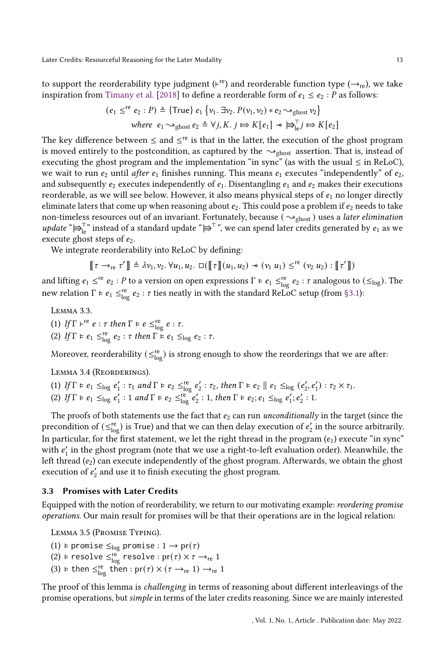to support the reorderability type judgment (⊦<sup>re</sup>) and reorderable function type ( $\rightarrow_{\textrm{re}}$ ), we take inspiration from [Timany et al.](#page-27-2) [\[2018\]](#page-27-2) to define a reorderable form of  $e_1 \leq e_2$ : *P* as follows:

$$
(e_1 \leq^{re} e_2 : P) \triangleq \{\text{True}\} e_1 \{v_1. \exists v_2. P(v_1, v_2) * e_2 \sim_{\text{ghost}} v_2\}
$$
  
where  $e_1 \sim_{\text{ghost}} e_2 \triangleq \forall j, K, j \implies K[e_1] \rightarrow \exists_{\text{le}}^T j \implies K[e_2]$ 

The key difference between  $\leq$  and  $\leq^{re}$  is that in the latter, the execution of the ghost program is moved entirely to the postcondition, as captured by the  $\rightsquigarrow_{\text{ghost}}$  assertion. That is, instead of executing the ghost program and the implementation "in sync" (as with the usual  $\leq$  in ReLoC), we wait to run  $e_2$  until after  $e_1$  finishes running. This means  $e_1$  executes "independently" of  $e_2$ , and subsequently  $e_2$  executes independently of  $e_1$ . Disentangling  $e_1$  and  $e_2$  makes their executions reorderable, as we will see below. However, it also means physical steps of  $e_1$  no longer directly eliminate laters that come up when reasoning about  $e_2$ . This could pose a problem if  $e_2$  needs to take non-timeless resources out of an invariant. Fortunately, because ( $\leadsto_{\text{ghost}}$ ) uses a *later elimination* update " $\Rightarrow_{\text{le}}^{\text{T}}$ " instead of a standard update " $\Rightarrow^{\text{T}}$ ", we can spend later credits generated by  $e_1$  as we execute ghost steps of  $e_2$ .

We integrate reorderability into ReLoC by defining:

$$
\llbracket \tau \rightarrow_{\text{re}} \tau' \rrbracket \triangleq \lambda v_1, v_2. \ \forall u_1, u_2. \ \Box(\llbracket \tau \rrbracket (u_1, u_2) \twoheadrightarrow (v_1 \ u_1) \leq^{\text{re}} (v_2 \ u_2) : \llbracket \tau' \rrbracket)
$$

and lifting  $e_1 \leq^{re} e_2$ : P to a version on open expressions  $\Gamma \models e_1 \leq^{re}_{log} e_2 : \tau$  analogous to  $(\leq_{log})$ . The new relation  $\Gamma \models e_1 \leq_{log}^{\text{re}} e_2 : \tau$  ties neatly in with the standard ReLoC setup (from [§3.1\)](#page-10-0):

Lemma 3.3.

- (1) If  $\Gamma$   $\vdash$ <sup>re</sup>  $e : \tau$  then  $\Gamma \models e \leq_{\log}^{\text{re}} e : \tau$ .
- (2) If  $\Gamma \models e_1 \leq_{\log}^{\text{re}} e_2 : \tau \text{ then } \Gamma \models e_1 \leq_{\log} e_2 : \tau.$

Moreover, reorderability  $(\leq_{\log}^{\text{re}})$  is strong enough to show the reorderings that we are after:

<span id="page-12-1"></span>Lemma 3.4 (Reorderings).

(1) If  $\Gamma \models e_1 \leq_{\log} e'_1 : \tau_1$  and  $\Gamma \models e_2 \leq_{\log}^{\text{re}} e'_2 : \tau_2$ , then  $\Gamma \models e_2 \parallel e_1 \leq_{\log} (e'_2, e'_1) : \tau_2 \times \tau_1$ . (2) If  $\Gamma \models e_1 \leq_{\text{log}} e'_1$ : 1 and  $\Gamma \models e_2 \leq_{\text{log}}^{\text{re}} e'_2$ : 1, then  $\Gamma \models e_2$ ;  $e_1 \leq_{\text{log}} e'_1$ ;  $e'_2$ : 1.

The proofs of both statements use the fact that  $e_2$  can run *unconditionally* in the target (since the precondition of  $(\leq_{\text{log}}^{\text{re}})$  is True) and that we can then delay execution of  $e'_2$  in the source arbitrarily. In particular, for the first statement, we let the right thread in the program  $(e_1)$  execute "in sync" with  $e'_1$  in the ghost program (note that we use a right-to-left evaluation order). Meanwhile, the left thread  $(e_2)$  can execute independently of the ghost program. Afterwards, we obtain the ghost execution of  $e'_2$  and use it to finish executing the ghost program.

#### <span id="page-12-0"></span>3.3 Promises with Later Credits

Equipped with the notion of reorderability, we return to our motivating example: reordering promise operations. Our main result for promises will be that their operations are in the logical relation:

<span id="page-12-2"></span>Lemma 3.5 (Promise Typing).

- (1) ⊨ promise  $\leq_{\text{log}}$  promise : 1 → pr $(\tau)$
- $(2)$  ⊨ resolve  $\leq^{\mathsf{re}}_{\log}$  resolve : pr $(\tau) \times \tau \rightarrow_{\mathsf{re}} 1$
- (3) ⊨ then  $\leq_{\text{log}}^{\text{re}}$  then : pr( $\tau$ )  $\times$  ( $\tau \rightarrow_{\text{re}} 1$ )  $\rightarrow_{\text{re}} 1$

The proof of this lemma is challenging in terms of reasoning about different interleavings of the promise operations, but simple in terms of the later credits reasoning. Since we are mainly interested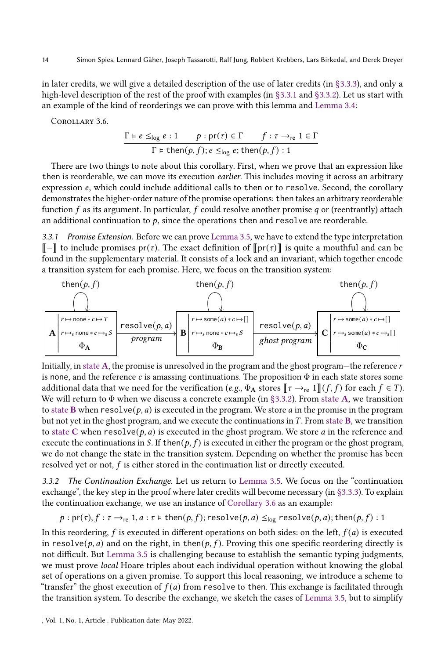in later credits, we will give a detailed description of the use of later credits (in [§3.3.3\)](#page-14-1), and only a high-level description of the rest of the proof with examples (in [§3.3.1](#page-13-0) and [§3.3.2\)](#page-13-1). Let us start with an example of the kind of reorderings we can prove with this lemma and [Lemma 3.4:](#page-12-1)

<span id="page-13-5"></span>Corollary 3.6.

<span id="page-13-4"></span>
$$
\frac{\Gamma \vDash e \leq_{\log} e : 1 \qquad p : \text{pr}(\tau) \in \Gamma \qquad f : \tau \to_{\text{re}} 1 \in \Gamma}{\Gamma \vDash \text{then}(p, f) : e \leq_{\log} e; \text{ then}(p, f) : 1}
$$

There are two things to note about this corollary. First, when we prove that an expression like then is reorderable, we can move its execution *earlier*. This includes moving it across an arbitrary expression  $e$ , which could include additional calls to then or to resolve. Second, the corollary demonstrates the higher-order nature of the promise operations: then takes an arbitrary reorderable function  $f$  as its argument. In particular,  $f$  could resolve another promise  $q$  or (reentrantly) attach an additional continuation to  $p$ , since the operations then and resolve are reorderable.

<span id="page-13-0"></span>3.3.1 Promise Extension. Before we can prove [Lemma 3.5,](#page-12-2) we have to extend the type interpretation  $\llbracket - \rrbracket$  to include promises pr( $\tau$ ). The exact definition of  $\llbracket \text{pr}(\tau) \rrbracket$  is quite a mouthful and can be found in the supplementary material. It consists of a lock and an invariant, which together encode a transition system for each promise. Here, we focus on the transition system:



<span id="page-13-3"></span><span id="page-13-2"></span>Initially, in [state](#page-13-2) A, the promise is unresolved in the program and the ghost program—the reference  $r$ is none, and the reference  $c$  is amassing continuations. The proposition  $\Phi$  in each state stores some additional data that we need for the verification (e.g.,  $\Phi_A$  stores  $\lbrack \lbrack \mathfrak{r} \rbrack \rightarrow_{\text{re}} 1 \rbrack$  $(f, f)$  for each  $f \in T$ ). We will return to  $\Phi$  when we discuss a concrete example (in [§3.3.2\)](#page-13-1). From [state](#page-13-2) A, we transition to [state](#page-13-3) B when resolve( $p, a$ ) is executed in the program. We store a in the promise in the program but not yet in the ghost program, and we execute the continuations in  $T$ . From [state](#page-13-3)  $B$ , we transition to [state](#page-13-4) C when  $resolve(p, a)$  is executed in the ghost program. We store a in the reference and execute the continuations in S. If then( $p, f$ ) is executed in either the program or the ghost program, we do not change the state in the transition system. Depending on whether the promise has been resolved yet or not,  $f$  is either stored in the continuation list or directly executed.

<span id="page-13-1"></span>3.3.2 The Continuation Exchange. Let us return to [Lemma 3.5.](#page-12-2) We focus on the "continuation exchange", the key step in the proof where later credits will become necessary (in [§3.3.3\)](#page-14-1). To explain the continuation exchange, we use an instance of [Corollary 3.6](#page-13-5) as an example:

$$
p: pr(\tau), f: \tau \rightarrow_{re} 1, a: \tau \models \text{then}(p, f); \text{resource}(p, a) \leq_{log} \text{resource}(p, a); \text{then}(p, f): 1
$$

In this reordering,  $f$  is executed in different operations on both sides: on the left,  $f(a)$  is executed in resolve( $p$ ,  $a$ ) and on the right, in then( $p$ ,  $f$ ). Proving this one specific reordering directly is not difficult. But [Lemma 3.5](#page-12-2) is challenging because to establish the semantic typing judgments, we must prove local Hoare triples about each individual operation without knowing the global set of operations on a given promise. To support this local reasoning, we introduce a scheme to "transfer" the ghost execution of  $f(a)$  from resolve to then. This exchange is facilitated through the transition system. To describe the exchange, we sketch the cases of [Lemma 3.5,](#page-12-2) but to simplify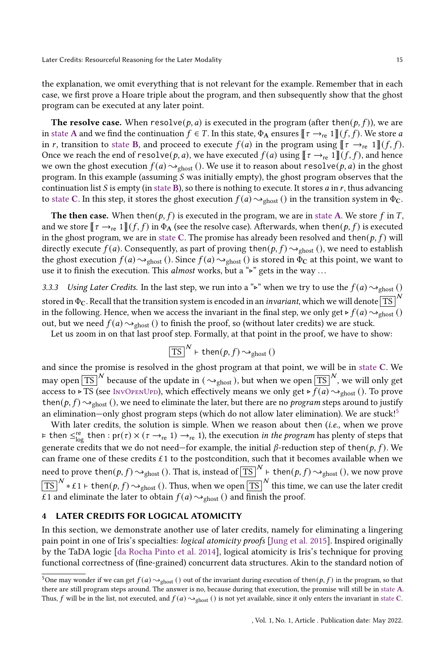the explanation, we omit everything that is not relevant for the example. Remember that in each case, we first prove a Hoare triple about the program, and then subsequently show that the ghost program can be executed at any later point.

**The resolve case.** When resolve( $p, a$ ) is executed in the program (after then( $p, f$ )), we are in [state](#page-13-2) A and we find the continuation  $f \in T$ . In this state,  $\Phi_A$  ensures  $\lbrack \lbrack \tau \rightarrow_{\text{re}} 1 \rbrack$  (f, f). We store a in r, transition to [state](#page-13-3) B, and proceed to execute  $f(a)$  in the program using  $\lbrack \lbrack \tau \rightarrow_{\text{re}} 1 \rbrack (f, f)$ . Once we reach the end of resolve(p, a), we have executed  $f(a)$  using  $\lbrack \lbrack \tau \rightarrow_{\text{re}} 1 \rbrack$  (f, f), and hence we own the ghost execution  $f(a) \rightarrow_{\text{ghost}} ($ ). We use it to reason about resolve( $p, a$ ) in the ghost program. In this example (assuming  $S$  was initially empty), the ghost program observes that the continuation list  $S$  is empty (in [state](#page-13-3) B), so there is nothing to execute. It stores  $a$  in  $r$ , thus advancing to [state](#page-13-4) C. In this step, it stores the ghost execution  $f(a) \sim_{\text{ghost}} ($ ) in the transition system in  $\Phi_C$ .

The then case. When then( $p, f$ ) is executed in the program, we are in [state](#page-13-2) A. We store f in T, and we store  $\llbracket \tau \rightarrow_{\text{re}} 1 \rrbracket (f, f)$  in  $\Phi_{\mathbf{A}}$  (see the resolve case). Afterwards, when then( $p, f$ ) is executed in the ghost program, we are in [state](#page-13-4) C. The promise has already been resolved and then( $p, f$ ) will directly execute  $f(a)$ . Consequently, as part of proving then( $p, f$ )  $\rightsquigarrow_{\text{ghost}}$  (), we need to establish the ghost execution  $f(a) \sim_{\text{ghost}} ($ ). Since  $f(a) \sim_{\text{ghost}} ($ ) is stored in  $\Phi_C$  at this point, we want to use it to finish the execution. This *almost* works, but a "⊳" gets in the way ...

<span id="page-14-1"></span>3.3.3 Using Later Credits. In the last step, we run into a "⊳" when we try to use the  $f(a) \sim_{\text{ghost}} ()$ stored in  $\Phi_C$ . Recall that the transition system is encoded in an *invariant*, which we will denote  $\overline{TS}|^N$ in the following. Hence, when we access the invariant in the final step, we only get ⊳  $f(a) \rightarrow_{\text{ghost}} ()$ out, but we need  $f(a) \sim_{\text{ghost}} (b)$  to finish the proof, so (without later credits) we are stuck.

Let us zoom in on that last proof step. Formally, at that point in the proof, we have to show:

$$
\boxed{\text{TS}}^N \vdash \text{then}(p, f) \leadsto_{\text{ghost}}()
$$

and since the promise is resolved in the ghost program at that point, we will be in [state](#page-13-4) C. We may open  $\overline{TS}^N$  because of the update in ( $\sim_{\text{ghost}}$ ), but when we open  $\overline{TS}^N$ , we will only get access to ⊳ TS (see InvOpenUpp), which effectively means we only get ⊳  $f(a) \sim_{\text{ghost}} ($ ). To prove then( $p, f$ )  $\rightarrow$ <sub>shost</sub> (), we need to eliminate the later, but there are no *program* steps around to justify an elimination—only ghost program steps (which do not allow later elimination). We are stuck!<sup>[5](#page-14-2)</sup>

With later credits, the solution is simple. When we reason about then (i.e., when we prove  $\epsilon$  then  $\leq_{\log}^{\epsilon}$  then : pr( $\tau$ ) × ( $\tau$  →<sub>re</sub> 1) →<sub>re</sub> 1), the execution *in the program* has plenty of steps that generate credits that we do not need—for example, the initial  $\beta$ -reduction step of then( $p, f$ ). We can frame one of these credits  $\pounds 1$  to the postcondition, such that it becomes available when we need to prove then $(p, f) \leadsto_{\text{ghost}} ($  ). That is, instead of  $\overline{TS}|^N \vdash \text{then}(p, f) \leadsto_{\text{ghost}} ()$ , we now prove  $\overline{\text{TS}}\big|^{\textstyle \mathcal{N}}*$ £1 ⊦ then $(p,f)\!\sim_{\text{ghost}}\!($  ). Thus, when we open  $\overline{\text{TS}}\big|^{\textstyle \mathcal{N}}$  this time, we can use the later credit £1 and eliminate the later to obtain  $f(a) \rightarrow_{ghost} ($ ) and finish the proof.

#### <span id="page-14-0"></span>4 LATER CREDITS FOR LOGICAL ATOMICITY

In this section, we demonstrate another use of later credits, namely for eliminating a lingering pain point in one of Iris's specialties: logical atomicity proofs [\[Jung et al.](#page-26-4) [2015\]](#page-26-4). Inspired originally by the TaDA logic [\[da Rocha Pinto et al.](#page-25-11) [2014\]](#page-25-11), logical atomicity is Iris's technique for proving functional correctness of (fine-grained) concurrent data structures. Akin to the standard notion of

<span id="page-14-2"></span><sup>&</sup>lt;sup>5</sup>One may wonder if we can get  $f(a) \rightarrow_{ghost} ($ ) out of the invariant during execution of then $(p, f)$  in the program, so that there are still program steps around. The answer is no, because during that execution, the promise will still be in [state](#page-13-2) A. Thus,  $f$  will be in the list, not executed, and  $f(a) \sim_{\text{ghost}} ( )$  is not yet available, since it only enters the invariant in [state](#page-13-4) C.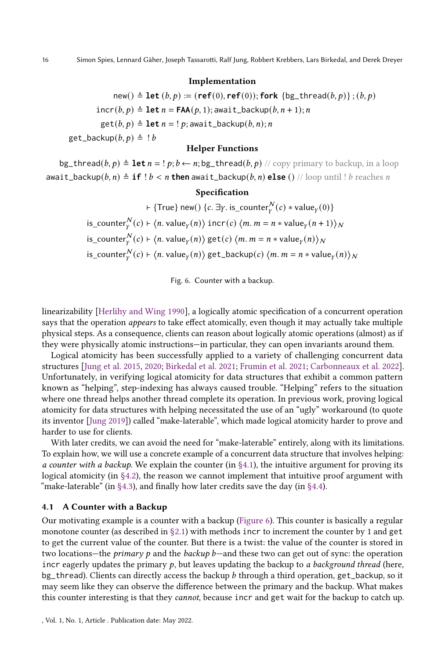## Implementation

<span id="page-15-1"></span> $new() \triangleq let (b, p) := (ref(0), ref(0));$  fork  ${bg\_thread(b, p)}$ ;  $(b, p)$  $incr(b, p)$  **≜ let**  $n = \text{FAA}(p, 1)$ ; await\_backup( $b, n + 1$ ); n  $get(b, p) \triangleq \textbf{let } n = ! p$ ; await\_backup $(b, n)$ ; n get\_backup $(b, p) \triangleq$  !  $b$ 

#### Helper Functions

 $bg_{\perp}$ thread( $b, p$ )  $\triangleq$  **let**  $n = ! p; b \leftarrow n; bg_{\perp}$ thread( $b, p$ ) // copy primary to backup, in a loop  $a$ wait\_backup( $b, n$ )  $\triangleq$  **if**  $! b < n$  then await\_backup( $b, n$ ) else () // loop until  $! b$  reaches n

## Specification

 $\vdash$  {True} new() {c. ∃γ. is\_counter $_{\nu}^{\mathcal{N}}(c)$   $\ast$  value $_{\gamma}(0)$ } is\_counter $\binom{N}{v}(c) \vdash \langle n.\text{value}_Y(n)\rangle$  incr(c)  $\langle m. m = n * \text{value}_Y(n+1)\rangle_N$ is\_counter $_{\scriptscriptstyle V}^{\cal N}(c)\,\,\vdash\,\,\langle n.\,\text{value}_\gamma(n)\,\rangle$  get $(c)\,\,\langle m.\,m=n*\mathrm{value}_\gamma(n)\,\rangle_{\cal N}$ is\_counter ${}_{\scriptscriptstyle Y}^{\scriptscriptstyle \mathcal N}(c)$   $\vdash$   $\langle n.\mathsf{value}_\gamma(n)\rangle$  get\_backup( $c)$   $\langle m.\, m=n*\mathrm{value}_\gamma(n)\rangle_{\mathcal N}$ 

Fig. 6. Counter with a backup.

linearizability [\[Herlihy and Wing](#page-26-16) [1990\]](#page-26-16), a logically atomic specification of a concurrent operation says that the operation *appears* to take effect atomically, even though it may actually take multiple physical steps. As a consequence, clients can reason about logically atomic operations (almost) as if they were physically atomic instructions—in particular, they can open invariants around them.

Logical atomicity has been successfully applied to a variety of challenging concurrent data structures [\[Jung et al.](#page-26-4) [2015,](#page-26-4) [2020;](#page-26-17) [Birkedal et al.](#page-25-12) [2021;](#page-25-12) [Frumin et al.](#page-26-11) [2021;](#page-26-11) [Carbonneaux et al.](#page-25-13) [2022\]](#page-25-13). Unfortunately, in verifying logical atomicity for data structures that exhibit a common pattern known as "helping", step-indexing has always caused trouble. "Helping" refers to the situation where one thread helps another thread complete its operation. In previous work, proving logical atomicity for data structures with helping necessitated the use of an "ugly" workaround (to quote its inventor [\[Jung](#page-26-13) [2019\]](#page-26-13)) called "make-laterable", which made logical atomicity harder to prove and harder to use for clients.

With later credits, we can avoid the need for "make-laterable" entirely, along with its limitations. To explain how, we will use a concrete example of a concurrent data structure that involves helping: a counter with a backup. We explain the counter (in  $\S 4.1$ ), the intuitive argument for proving its logical atomicity (in  $\S 4.2$ ), the reason we cannot implement that intuitive proof argument with "make-laterable" (in  $\S 4.3$ ), and finally how later credits save the day (in  $\S 4.4$ ).

## <span id="page-15-0"></span>4.1 A Counter with a Backup

Our motivating example is a counter with a backup [\(Figure 6\)](#page-15-1). This counter is basically a regular monotone counter (as described in  $\S 2.1$ ) with methods incr to increment the counter by 1 and get to get the current value of the counter. But there is a twist: the value of the counter is stored in two locations—the *primary*  $p$  and the *backup*  $b$ —and these two can get out of sync: the operation incr eagerly updates the primary  $p$ , but leaves updating the backup to a background thread (here, bg\_thread). Clients can directly access the backup  $b$  through a third operation, get\_backup, so it may seem like they can observe the difference between the primary and the backup. What makes this counter interesting is that they cannot, because incr and get wait for the backup to catch up.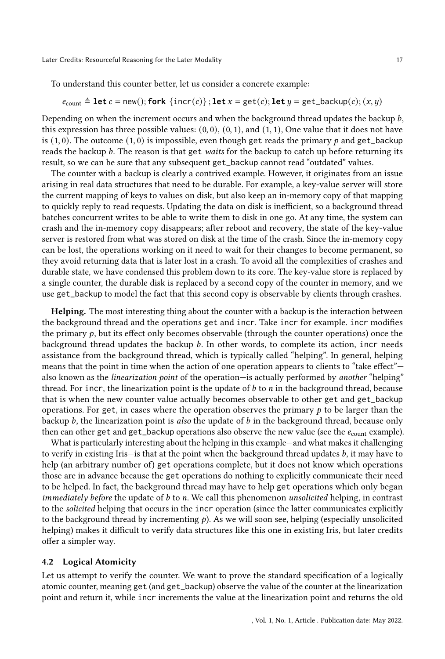To understand this counter better, let us consider a concrete example:

$$
e_{\text{count}} \triangleq \text{let } c = \text{new}();
$$
fork {incr(c)}; let  $x = \text{get}(c)$ ; let  $y = \text{get\_backup}(c)$ ;  $(x, y)$ 

Depending on when the increment occurs and when the background thread updates the backup  $b$ , this expression has three possible values:  $(0, 0)$ ,  $(0, 1)$ , and  $(1, 1)$ , One value that it does not have is  $(1, 0)$ . The outcome  $(1, 0)$  is impossible, even though get reads the primary p and get\_backup reads the backup  $b$ . The reason is that get waits for the backup to catch up before returning its result, so we can be sure that any subsequent get\_backup cannot read "outdated" values.

The counter with a backup is clearly a contrived example. However, it originates from an issue arising in real data structures that need to be durable. For example, a key-value server will store the current mapping of keys to values on disk, but also keep an in-memory copy of that mapping to quickly reply to read requests. Updating the data on disk is inefficient, so a background thread batches concurrent writes to be able to write them to disk in one go. At any time, the system can crash and the in-memory copy disappears; after reboot and recovery, the state of the key-value server is restored from what was stored on disk at the time of the crash. Since the in-memory copy can be lost, the operations working on it need to wait for their changes to become permanent, so they avoid returning data that is later lost in a crash. To avoid all the complexities of crashes and durable state, we have condensed this problem down to its core. The key-value store is replaced by a single counter, the durable disk is replaced by a second copy of the counter in memory, and we use get\_backup to model the fact that this second copy is observable by clients through crashes.

Helping. The most interesting thing about the counter with a backup is the interaction between the background thread and the operations get and incr. Take incr for example. incr modifies the primary  $p$ , but its effect only becomes observable (through the counter operations) once the background thread updates the backup  $b$ . In other words, to complete its action, incr needs assistance from the background thread, which is typically called "helping". In general, helping means that the point in time when the action of one operation appears to clients to "take effect" also known as the linearization point of the operation—is actually performed by another "helping" thread. For incr, the linearization point is the update of  $b$  to  $n$  in the background thread, because that is when the new counter value actually becomes observable to other get and get\_backup operations. For get, in cases where the operation observes the primary  $p$  to be larger than the backup  $b$ , the linearization point is also the update of  $b$  in the background thread, because only then can other get and get\_backup operations also observe the new value (see the  $e_{\text{count}}$  example).

What is particularly interesting about the helping in this example—and what makes it challenging to verify in existing Iris—is that at the point when the background thread updates  $b$ , it may have to help (an arbitrary number of) get operations complete, but it does not know which operations those are in advance because the get operations do nothing to explicitly communicate their need to be helped. In fact, the background thread may have to help get operations which only began immediately before the update of  $b$  to  $n$ . We call this phenomenon unsolicited helping, in contrast to the solicited helping that occurs in the incr operation (since the latter communicates explicitly to the background thread by incrementing  $p$ ). As we will soon see, helping (especially unsolicited helping) makes it difficult to verify data structures like this one in existing Iris, but later credits offer a simpler way.

## <span id="page-16-0"></span>4.2 Logical Atomicity

Let us attempt to verify the counter. We want to prove the standard specification of a logically atomic counter, meaning get (and get\_backup) observe the value of the counter at the linearization point and return it, while incr increments the value at the linearization point and returns the old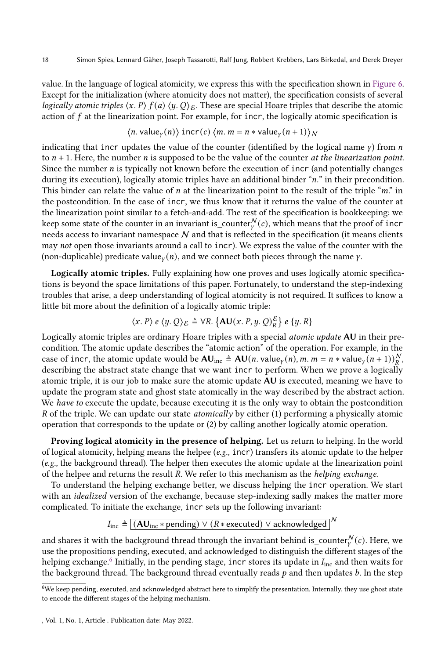value. In the language of logical atomicity, we express this with the specification shown in [Figure 6.](#page-15-1) Except for the initialization (where atomicity does not matter), the specification consists of several logically atomic triples  $\langle x, P \rangle f(a) \langle y, Q \rangle_{\mathcal{E}}$ . These are special Hoare triples that describe the atomic action of  $f$  at the linearization point. For example, for incr, the logically atomic specification is

$$
\langle n. \text{value}_Y(n) \rangle \text{incr}(c) \langle m. m = n * \text{value}_Y(n+1) \rangle_N
$$

indicating that incr updates the value of the counter (identified by the logical name  $\gamma$ ) from *n* to  $n + 1$ . Here, the number *n* is supposed to be the value of the counter *at the linearization point*. Since the number  $n$  is typically not known before the execution of incr (and potentially changes during its execution), logically atomic triples have an additional binder " $n$ ." in their precondition. This binder can relate the value of  $n$  at the linearization point to the result of the triple " $m$ ." in the postcondition. In the case of incr, we thus know that it returns the value of the counter at the linearization point similar to a fetch-and-add. The rest of the specification is bookkeeping: we keep some state of the counter in an invariant is\_counter $_{\rm v}^{\cal N}(c)$ , which means that the proof of <code>incr</code> needs access to invariant namespace  $N$  and that is reflected in the specification (it means clients may not open those invariants around a call to incr). We express the value of the counter with the (non-duplicable) predicate value<sub> $v(n)$ </sub>, and we connect both pieces through the name  $\gamma$ .

Logically atomic triples. Fully explaining how one proves and uses logically atomic specifications is beyond the space limitations of this paper. Fortunately, to understand the step-indexing troubles that arise, a deep understanding of logical atomicity is not required. It suffices to know a little bit more about the definition of a logically atomic triple:

$$
\langle x, P \rangle \cdot \langle y, Q \rangle_{\mathcal{E}} \triangleq \forall R. \{AU(x, P, y, Q)_R^{\mathcal{E}}\} \cdot \{y, R\}
$$

Logically atomic triples are ordinary Hoare triples with a special atomic update AU in their precondition. The atomic update describes the "atomic action" of the operation. For example, in the case of incr, the atomic update would be  $AU_{inc} \triangleq AU(n \text{. value}_y(n), m. m = n * value_y(n+1))_{R}^{N}$ , describing the abstract state change that we want incr to perform. When we prove a logically atomic triple, it is our job to make sure the atomic update AU is executed, meaning we have to update the program state and ghost state atomically in the way described by the abstract action. We have to execute the update, because executing it is the only way to obtain the postcondition R of the triple. We can update our state *atomically* by either (1) performing a physically atomic operation that corresponds to the update or (2) by calling another logically atomic operation.

Proving logical atomicity in the presence of helping. Let us return to helping. In the world of logical atomicity, helping means the helpee  $(e.g., \text{incr})$  transfers its atomic update to the helper (e.g., the background thread). The helper then executes the atomic update at the linearization point of the helpee and returns the result R. We refer to this mechanism as the *helping exchange*.

To understand the helping exchange better, we discuss helping the incr operation. We start with an *idealized* version of the exchange, because step-indexing sadly makes the matter more complicated. To initiate the exchange, incr sets up the following invariant:

## $I_{inc}$  ≜  $\overline{(AU_{inc} * pending) \vee (R * executed) \vee acknowledged}$ <sup>N</sup>

and shares it with the background thread through the invariant behind is\_counter $_{\nu}^{\mathcal{N}}(c).$  Here, we use the propositions pending, executed, and acknowledged to distinguish the different stages of the helping exchange.<sup>[6](#page-17-0)</sup> Initially, in the pending stage, incr stores its update in  $I_{inc}$  and then waits for the background thread. The background thread eventually reads  $p$  and then updates  $b$ . In the step

<span id="page-17-0"></span><sup>6</sup>We keep pending, executed, and acknowledged abstract here to simplify the presentation. Internally, they use ghost state to encode the different stages of the helping mechanism.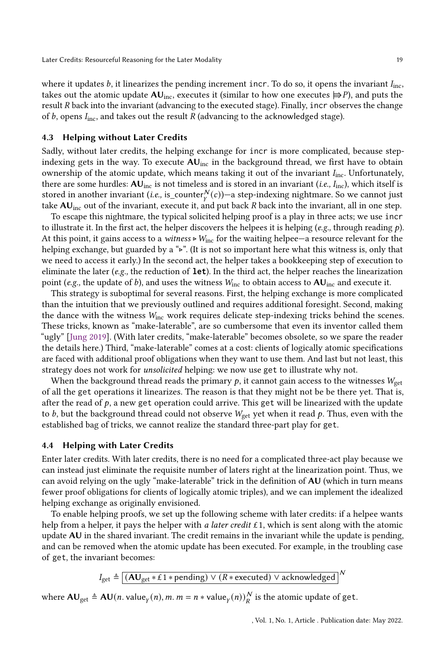where it updates  $b$ , it linearizes the pending increment incr. To do so, it opens the invariant  $I_{inc}$ , takes out the atomic update  $AU_{inc}$ , executes it (similar to how one executes  $\Rightarrow P$ ), and puts the result *R* back into the invariant (advancing to the executed stage). Finally, incr observes the change of  $b$ , opens  $I_{\text{inc}}$ , and takes out the result  $R$  (advancing to the acknowledged stage).

#### <span id="page-18-0"></span>4.3 Helping without Later Credits

Sadly, without later credits, the helping exchange for incr is more complicated, because stepindexing gets in the way. To execute  $AU_{inc}$  in the background thread, we first have to obtain ownership of the atomic update, which means taking it out of the invariant  $I_{inc}$ . Unfortunately, there are some hurdles:  $AU_{inc}$  is not timeless and is stored in an invariant (i.e.,  $I_{inc}$ ), which itself is stored in another invariant (*i.e.*, is\_counter $_{\nu}^{\mathcal{N}}(c))$ —a step-indexing nightmare. So we cannot just take  $AU_{inc}$  out of the invariant, execute it, and put back  $R$  back into the invariant, all in one step.

To escape this nightmare, the typical solicited helping proof is a play in three acts; we use incr to illustrate it. In the first act, the helper discovers the helpees it is helping (e.g., through reading  $p$ ). At this point, it gains access to a witness ⊳  $W_{inc}$  for the waiting helpee—a resource relevant for the helping exchange, but guarded by a "⊳". (It is not so important here what this witness is, only that we need to access it early.) In the second act, the helper takes a bookkeeping step of execution to eliminate the later (e.g., the reduction of **let**). In the third act, the helper reaches the linearization point (e.g., the update of b), and uses the witness  $W_{\text{inc}}$  to obtain access to  $AU_{\text{inc}}$  and execute it.

This strategy is suboptimal for several reasons. First, the helping exchange is more complicated than the intuition that we previously outlined and requires additional foresight. Second, making the dance with the witness  $W_{inc}$  work requires delicate step-indexing tricks behind the scenes. These tricks, known as "make-laterable", are so cumbersome that even its inventor called them "ugly" [\[Jung](#page-26-13) [2019\]](#page-26-13). (With later credits, "make-laterable" becomes obsolete, so we spare the reader the details here.) Third, "make-laterable" comes at a cost: clients of logically atomic specifications are faced with additional proof obligations when they want to use them. And last but not least, this strategy does not work for unsolicited helping: we now use get to illustrate why not.

When the background thread reads the primary  $p$ , it cannot gain access to the witnesses  $W_{\text{get}}$ of all the get operations it linearizes. The reason is that they might not be be there yet. That is, after the read of  $p$ , a new get operation could arrive. This get will be linearized with the update to  $b$ , but the background thread could not observe  $W_{\text{get}}$  yet when it read  $p$ . Thus, even with the established bag of tricks, we cannot realize the standard three-part play for get.

#### <span id="page-18-1"></span>4.4 Helping with Later Credits

Enter later credits. With later credits, there is no need for a complicated three-act play because we can instead just eliminate the requisite number of laters right at the linearization point. Thus, we can avoid relying on the ugly "make-laterable" trick in the definition of AU (which in turn means fewer proof obligations for clients of logically atomic triples), and we can implement the idealized helping exchange as originally envisioned.

To enable helping proofs, we set up the following scheme with later credits: if a helpee wants help from a helper, it pays the helper with *a later credit*  $\pounds$  1, which is sent along with the atomic update AU in the shared invariant. The credit remains in the invariant while the update is pending, and can be removed when the atomic update has been executed. For example, in the troubling case of get, the invariant becomes:

$$
I_{\text{get}} \triangleq \boxed{(\textbf{AU}_{\text{get}} * \text{\textsterling} 1 * \text{pending}) \lor (R * \text{executed}) \lor \text{acknowledged})^N}
$$

where  $AU_{get} \triangleq AU(n.$  value $_{\gamma}(n), m.$   $m = n *$  value $_{\gamma}(n)$ ) $_{R}^{N}$  is the atomic update of get.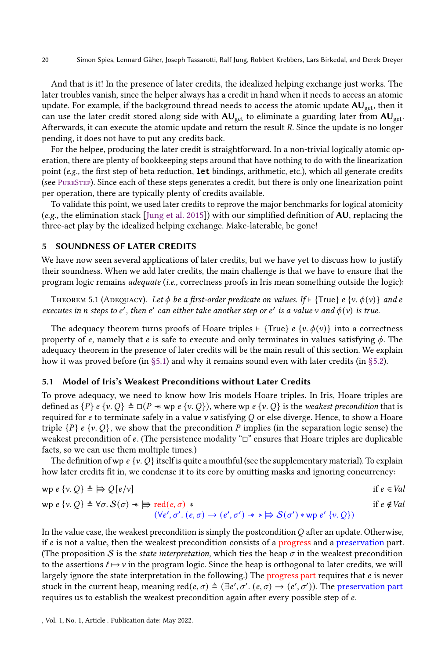And that is it! In the presence of later credits, the idealized helping exchange just works. The later troubles vanish, since the helper always has a credit in hand when it needs to access an atomic update. For example, if the background thread needs to access the atomic update  $AU_{\text{get}}$ , then it can use the later credit stored along side with  $AU_{get}$  to eliminate a guarding later from  $AU_{get}$ . Afterwards, it can execute the atomic update and return the result  $R$ . Since the update is no longer pending, it does not have to put any credits back.

For the helpee, producing the later credit is straightforward. In a non-trivial logically atomic operation, there are plenty of bookkeeping steps around that have nothing to do with the linearization point (e.g., the first step of beta reduction, **let** bindings, arithmetic, etc.), which all generate credits (see [PureStep](#page-7-2)). Since each of these steps generates a credit, but there is only one linearization point per operation, there are typically plenty of credits available.

To validate this point, we used later credits to reprove the major benchmarks for logical atomicity (e.g., the elimination stack [\[Jung et al.](#page-26-4) [2015\]](#page-26-4)) with our simplified definition of AU, replacing the three-act play by the idealized helping exchange. Make-laterable, be gone!

#### <span id="page-19-0"></span>5 SOUNDNESS OF LATER CREDITS

We have now seen several applications of later credits, but we have yet to discuss how to justify their soundness. When we add later credits, the main challenge is that we have to ensure that the program logic remains *adequate* (i.e., correctness proofs in Iris mean something outside the logic):

THEOREM 5.1 (ADEQUACY). Let  $\phi$  be a first-order predicate on values. If ⊢ {True}  $e \{v, \phi(v)\}$  and  $e$ executes in n steps to e', then e' can either take another step or e' is a value v and  $\phi(v)$  is true.

The adequacy theorem turns proofs of Hoare triples ⊢ {True}  $e \{v, \phi(v)\}\$  into a correctness property of e, namely that e is safe to execute and only terminates in values satisfying  $\phi$ . The adequacy theorem in the presence of later credits will be the main result of this section. We explain how it was proved before (in [§5.1\)](#page-19-1) and why it remains sound even with later credits (in [§5.2\)](#page-20-0).

#### <span id="page-19-1"></span>5.1 Model of Iris's Weakest Preconditions without Later Credits

To prove adequacy, we need to know how Iris models Hoare triples. In Iris, Hoare triples are defined as  $\{P\}$   $\in$   $\{v, Q\} \triangleq \Box(P \ast wp \in \{v, Q\})$ , where wp  $\in \{v, Q\}$  is the *weakest precondition* that is required for  $e$  to terminate safely in a value v satisfying  $Q$  or else diverge. Hence, to show a Hoare triple  $\{P\}$  e  $\{v, Q\}$ , we show that the precondition P implies (in the separation logic sense) the weakest precondition of  $e$ . (The persistence modality " $\square$ " ensures that Hoare triples are duplicable facts, so we can use them multiple times.)

The definition of wp  $e \{v, Q\}$  itself is quite a mouthful (see the supplementary material). To explain how later credits fit in, we condense it to its core by omitting masks and ignoring concurrency:

$$
wp e \{v, Q\} \triangleq \biguplus Q[e/v] \qquad \text{if } e \in Val
$$
\n
$$
wp e \{v, Q\} \triangleq \forall \sigma. S(\sigma) \Rightarrow \biguplus \text{red}(e, \sigma) \ast \qquad \qquad \text{if } e \notin Val
$$
\n
$$
(\forall e', \sigma'. (e, \sigma) \rightarrow (e', \sigma') \Rightarrow \models S(\sigma') \ast wp e' \{v, Q\}) \qquad \text{if } e \notin Val
$$

In the value case, the weakest precondition is simply the postcondition  $Q$  after an update. Otherwise, if  $e$  is not a value, then the weakest precondition consists of a progress and a preservation part. (The proposition S is the *state interpretation*, which ties the heap  $\sigma$  in the weakest precondition to the assertions  $\ell \mapsto \nu$  in the program logic. Since the heap is orthogonal to later credits, we will largely ignore the state interpretation in the following.) The progress part requires that  $e$  is never stuck in the current heap, meaning red $(e, \sigma) \triangleq (\exists e', \sigma', (e, \sigma) \rightarrow (e', \sigma'))$ . The preservation part requires us to establish the weakest precondition again after every possible step of  $e$ .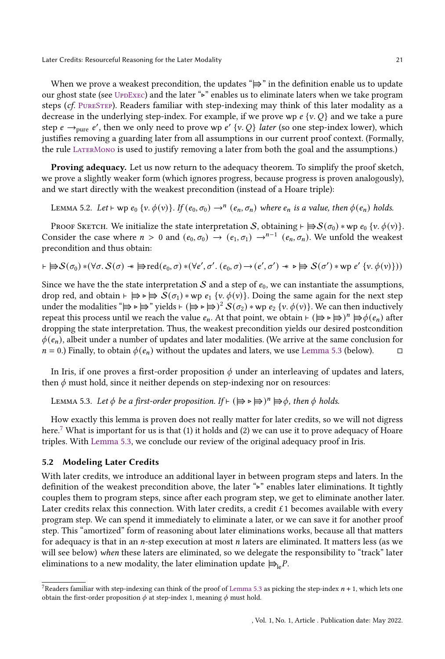When we prove a weakest precondition, the updates " $\Rightarrow$ " in the definition enable us to update our ghost state (see UppExec) and the later "►" enables us to eliminate laters when we take program steps (cf. PURESTEP). Readers familiar with step-indexing may think of this later modality as a decrease in the underlying step-index. For example, if we prove wp  $\ell \{v, Q\}$  and we take a pure step  $e \rightarrow_{pure} e'$ , then we only need to prove wp  $e' \{v, Q\}$  *later* (so one step-index lower), which justifies removing a guarding later from all assumptions in our current proof context. (Formally, the rule LATERMONO is used to justify removing a later from both the goal and the assumptions.)

Proving adequacy. Let us now return to the adequacy theorem. To simplify the proof sketch, we prove a slightly weaker form (which ignores progress, because progress is proven analogously), and we start directly with the weakest precondition (instead of a Hoare triple):

LEMMA 5.2. Let ⊢ wp  $e_0$  {v.  $\phi(v)$ }. If  $(e_0, \sigma_0) \to^n (e_n, \sigma_n)$  where  $e_n$  is a value, then  $\phi(e_n)$  holds.

PROOF SKETCH. We initialize the state interpretation S, obtaining  $\vdash \bigtrlus S(\sigma_0) * \text{wp } e_0 \{v, \phi(v)\}.$ Consider the case where  $n > 0$  and  $(e_0, \sigma_0) \rightarrow (e_1, \sigma_1) \rightarrow^{n-1} (e_n, \sigma_n)$ . We unfold the weakest precondition and thus obtain:

$$
\vdash \exists S(\sigma_0) * (\forall \sigma. S(\sigma) \ast \exists \text{red}(e_0, \sigma) * (\forall e', \sigma'. (e_0, \sigma) \rightarrow (e', \sigma') \ast \triangleright \exists S(\sigma') * \text{wp } e' \{v. \phi(v)\})
$$

Since we have the the state interpretation S and a step of  $e_0$ , we can instantiate the assumptions, drop red, and obtain ⊦  $\Rightarrow \Rightarrow \Rightarrow S(\sigma_1) * \text{wp } e_1 \{v, \phi(v)\}\)$ . Doing the same again for the next step under the modalities " $\Rightarrow$   $\Rightarrow$   $\Rightarrow$  "yields ⊦ ( $\Rightarrow$   $\Rightarrow$   $\Rightarrow$  )<sup>2</sup>  $S(\sigma_2)$  \* wp  $e_2$  {v.  $\phi(v)$ }. We can then inductively repeat this process until we reach the value  $e_n$ . At that point, we obtain ⊢ ( $\Rightarrow \Rightarrow \Rightarrow^n \Rightarrow \phi(e_n)$  after dropping the state interpretation. Thus, the weakest precondition yields our desired postcondition  $\phi(e_n)$ , albeit under a number of updates and later modalities. (We arrive at the same conclusion for  $n = 0$ .) Finally, to obtain  $\phi(e_n)$  without the updates and laters, we use [Lemma 5.3](#page-20-1) (below). □

In Iris, if one proves a first-order proposition  $\phi$  under an interleaving of updates and laters, then  $\phi$  must hold, since it neither depends on step-indexing nor on resources:

<span id="page-20-1"></span>LEMMA 5.3. Let  $\phi$  be a first-order proposition. If  $\vdash (\models \Rightarrow \models)^n \models \phi$ , then  $\phi$  holds.

How exactly this lemma is proven does not really matter for later credits, so we will not digress here.<sup>[7](#page-20-2)</sup> What is important for us is that (1) it holds and (2) we can use it to prove adequacy of Hoare triples. With [Lemma 5.3,](#page-20-1) we conclude our review of the original adequacy proof in Iris.

## <span id="page-20-0"></span>5.2 Modeling Later Credits

With later credits, we introduce an additional layer in between program steps and laters. In the definition of the weakest precondition above, the later ">" enables later eliminations. It tightly couples them to program steps, since after each program step, we get to eliminate another later. Later credits relax this connection. With later credits, a credit  $\epsilon$ 1 becomes available with every program step. We can spend it immediately to eliminate a later, or we can save it for another proof step. This "amortized" form of reasoning about later eliminations works, because all that matters for adequacy is that in an  $n$ -step execution at most  $n$  laters are eliminated. It matters less (as we will see below) when these laters are eliminated, so we delegate the responsibility to "track" later eliminations to a new modality, the later elimination update  $\bigoplus_{\text{I}e} P$ .

<span id="page-20-2"></span><sup>&</sup>lt;sup>7</sup>Readers familiar with step-indexing can think of the proof of [Lemma 5.3](#page-20-1) as picking the step-index  $n + 1$ , which lets one obtain the first-order proposition  $\phi$  at step-index 1, meaning  $\phi$  must hold.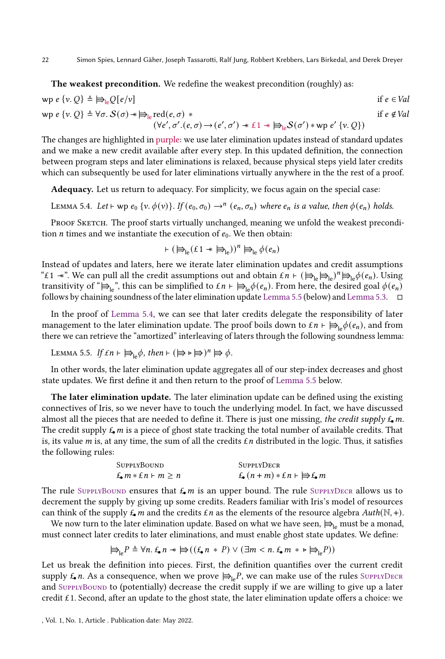#### The weakest precondition. We redefine the weakest precondition (roughly) as:

$$
wp e \{v, Q\} \triangleq \biguplus_{e \in Q} [e/v] \qquad \text{if } e \in Val
$$
\n
$$
wp e \{v, Q\} \triangleq \forall \sigma, S(\sigma) \cdot \biguplus_{e \in \text{red}(e, \sigma) \cdot \forall} [e, \sigma) \cdot \biguplus_{e \in \text{red}(e, \sigma) \cdot \forall e', \sigma', e, \sigma' \cdot \forall e', \sigma' \cdot \forall e, \sigma' \cdot \exists e \in S(\sigma') \cdot \text{wp } e' \{v, Q\}]
$$
\n
$$
(\forall e', \sigma', (e, \sigma) \rightarrow (e', \sigma') \cdot \text{min } \exists e \in S(\sigma') \cdot \text{wp } e' \{v, Q\})
$$

The changes are highlighted in purple: we use later elimination updates instead of standard updates and we make a new credit available after every step. In this updated definition, the connection between program steps and later eliminations is relaxed, because physical steps yield later credits which can subsequently be used for later eliminations virtually anywhere in the the rest of a proof.

Adequacy. Let us return to adequacy. For simplicity, we focus again on the special case:

<span id="page-21-0"></span>LEMMA 5.4. Let ⊢ wp  $e_0$  {v.  $\phi(v)$ }. If  $(e_0, \sigma_0) \to^n (e_n, \sigma_n)$  where  $e_n$  is a value, then  $\phi(e_n)$  holds.

PROOF SKETCH. The proof starts virtually unchanged, meaning we unfold the weakest precondition *n* times and we instantiate the execution of  $e_0$ . We then obtain:

$$
\vdash (\not\Rightarrow_{\mathsf{le}} (\pounds 1 \twoheadrightarrow \biguplus_{\mathsf{le}}))^{n} \not\Rightarrow_{\mathsf{le}} \phi(e_{n})
$$

Instead of updates and laters, here we iterate later elimination updates and credit assumptions "£1  $\ast$ ". We can pull all the credit assumptions out and obtain  $\hat{L}n \in (\bigoplus_{l\in \mathcal{P}_l\in \mathcal{P}_l} P_l \oplus_{l\in \mathcal{P}_l} (\hat{e}_n)$ . Using transitivity of " $\biguplus_{\mu}$ ", this can be simplified to  $\epsilon n \vdash \biguplus_{\mu} \phi(e_n)$ . From here, the desired goal  $\phi(e_n)$ follows by chaining soundness of the later elimination update [Lemma 5.5](#page-22-1) (below) and [Lemma 5.3.](#page-20-1)

In the proof of [Lemma 5.4,](#page-21-0) we can see that later credits delegate the responsibility of later management to the later elimination update. The proof boils down to  $\mathcal{E}n \vdash \bigoplus_{i} \phi(e_n)$ , and from there we can retrieve the "amortized" interleaving of laters through the following soundness lemma:

LEMMA 5.5. If 
$$
\ln \vdash \biguplus_{\mid e} \phi
$$
, then  $\vdash (\biguplus \triangleright \biguplus)^n \biguplus \phi$ .

In other words, the later elimination update aggregates all of our step-index decreases and ghost state updates. We first define it and then return to the proof of [Lemma 5.5](#page-22-1) below.

The later elimination update. The later elimination update can be defined using the existing connectives of Iris, so we never have to touch the underlying model. In fact, we have discussed almost all the pieces that are needed to define it. There is just one missing, the credit supply  $f_{\bullet}$  m. The credit supply  $f_{\bullet}$  *m* is a piece of ghost state tracking the total number of available credits. That is, its value *m* is, at any time, the sum of all the credits  $\pounds n$  distributed in the logic. Thus, it satisfies the following rules:

<span id="page-21-2"></span><span id="page-21-1"></span>SupplyBounD

\n
$$
f_{\bullet} m * f n \vdash m \geq n
$$
\nSupplyDecr

\n
$$
f_{\bullet} (n + m) * f n \vdash \biguplus f_{\bullet} m
$$

The rule SUPPLYBOUND ensures that  $f_m$  is an upper bound. The rule SUPPLYDECR allows us to decrement the supply by giving up some credits. Readers familiar with Iris's model of resources can think of the supply  $f_{\bullet}$  m and the credits  $\pounds n$  as the elements of the resource algebra  $Auth(\mathbb{N}, +)$ .

We now turn to the later elimination update. Based on what we have seen,  $\Rightarrow$ <sub>le</sub> must be a monad, must connect later credits to later eliminations, and must enable ghost state updates. We define:

$$
\Rightarrow_{\leq_{\mathsf{I}}} P \triangleq \forall n. \ \mathbf{f}_\bullet \ n \twoheadrightarrow \biguplus ((\mathbf{f}_\bullet \ n \ * \ P) \ \vee \ (\exists m < n. \ \mathbf{f}_\bullet \ m \ * \ \triangleright \ \models_{\leq_{\mathsf{I}}} P))
$$

Let us break the definition into pieces. First, the definition quantifies over the current credit supply  $f_{\bullet}$  *n*. As a consequence, when we prove  $\bigoplus_{i \in P} P$ , we can make use of the rules SUPPLYDECR and SUPPLYBOUND to (potentially) decrease the credit supply if we are willing to give up a later credit  $\pounds$  1. Second, after an update to the ghost state, the later elimination update offers a choice: we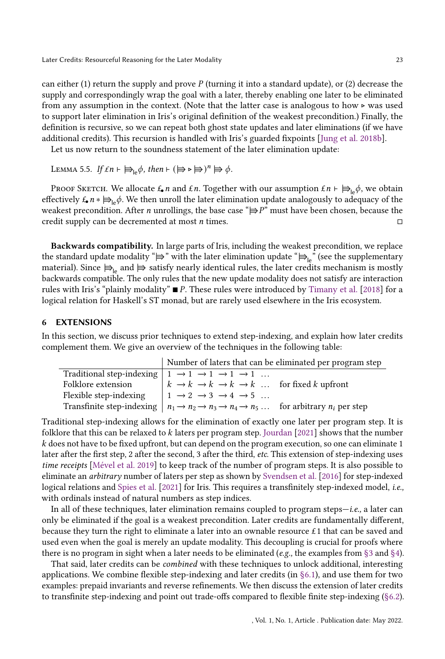can either (1) return the supply and prove  $P$  (turning it into a standard update), or (2) decrease the supply and correspondingly wrap the goal with a later, thereby enabling one later to be eliminated from any assumption in the context. (Note that the latter case is analogous to how  $▶$  was used to support later elimination in Iris's original definition of the weakest precondition.) Finally, the definition is recursive, so we can repeat both ghost state updates and later eliminations (if we have additional credits). This recursion is handled with Iris's guarded fixpoints [\[Jung et al.](#page-26-7) [2018b\]](#page-26-7).

Let us now return to the soundness statement of the later elimination update:

```
LEMMA 5.5. If \mathcal{E} n \vdash \biguplus_{\mathsf{le}} \phi, then \vdash (\biguplus \triangleright \biguplus)^n \biguplus \phi.
```
PROOF SKETCH. We allocate  $\mathbf{\pounds}_{\mathbf{n}}$  and  $\mathbf{\pounds}_{\mathbf{n}}$ . Together with our assumption  $\mathbf{\pounds}_{\mathbf{n}} \vdash \mathbf{\pmb{\LARGE{\LARGE{\LARGE{\mathcal{E}}}}}_{\mathbf{b}}$ , we obtain effectively  $\epsilon_n * \nvDash_{\text{le}} \phi$ . We then unroll the later elimination update analogously to adequacy of the weakest precondition. After *n* unrollings, the base case " $\Rightarrow P$ " must have been chosen, because the credit supply can be decremented at most  $n$  times.

Backwards compatibility. In large parts of Iris, including the weakest precondition, we replace the standard update modality " $\Rightarrow$ " with the later elimination update " $\Rightarrow_{\text{le}}$ " (see the supplementary material). Since  $\bigtriangleright_{\mathsf{I}_{\mathsf{P}}}$  and  $\bigtriangleright$  satisfy nearly identical rules, the later credits mechanism is mostly backwards compatible. The only rules that the new update modality does not satisfy are interaction rules with Iris's "plainly modality"  $\blacksquare$  P. These rules were introduced by [Timany et al.](#page-27-2) [\[2018\]](#page-27-2) for a logical relation for Haskell's ST monad, but are rarely used elsewhere in the Iris ecosystem.

#### <span id="page-22-0"></span>6 EXTENSIONS

In this section, we discuss prior techniques to extend step-indexing, and explain how later credits complement them. We give an overview of the techniques in the following table:

|                        | Number of laters that can be eliminated per program step                                                                                |  |  |
|------------------------|-----------------------------------------------------------------------------------------------------------------------------------------|--|--|
|                        | Traditional step-indexing $  1 \rightarrow 1 \rightarrow 1 \rightarrow 1 \rightarrow 1 \dots$                                           |  |  |
| Folklore extension     | $k \to k \to k \to k \to k \dots$ for fixed k upfront                                                                                   |  |  |
| Flexible step-indexing | $1 \rightarrow 2 \rightarrow 3 \rightarrow 4 \rightarrow 5 \dots$                                                                       |  |  |
|                        | Transfinite step-indexing $\mid n_1 \rightarrow n_2 \rightarrow n_3 \rightarrow n_4 \rightarrow n_5 \dots$ for arbitrary $n_i$ per step |  |  |

Traditional step-indexing allows for the elimination of exactly one later per program step. It is folklore that this can be relaxed to  $k$  laters per program step. [Jourdan](#page-26-18) [\[2021\]](#page-26-18) shows that the number  $k$  does not have to be fixed upfront, but can depend on the program execution, so one can eliminate 1 later after the first step, 2 after the second, 3 after the third, etc. This extension of step-indexing uses time receipts [\[Mével et al.](#page-26-19) [2019\]](#page-26-19) to keep track of the number of program steps. It is also possible to eliminate an arbitrary number of laters per step as shown by [Svendsen et al.](#page-27-3) [\[2016\]](#page-27-3) for step-indexed logical relations and [Spies et al.](#page-27-6) [\[2021\]](#page-27-6) for Iris. This requires a transfinitely step-indexed model, i.e., with ordinals instead of natural numbers as step indices.

In all of these techniques, later elimination remains coupled to program steps—i.e., a later can only be eliminated if the goal is a weakest precondition. Later credits are fundamentally different, because they turn the right to eliminate a later into an ownable resource  $\epsilon$  1 that can be saved and used even when the goal is merely an update modality. This decoupling is crucial for proofs where there is no program in sight when a later needs to be eliminated (e.g., the examples from [§3](#page-8-0) and [§4\)](#page-14-0).

That said, later credits can be combined with these techniques to unlock additional, interesting applications. We combine flexible step-indexing and later credits (in [§6.1\)](#page-23-0), and use them for two examples: prepaid invariants and reverse refinements. We then discuss the extension of later credits to transfinite step-indexing and point out trade-offs compared to flexible finite step-indexing [\(§6.2\)](#page-23-1).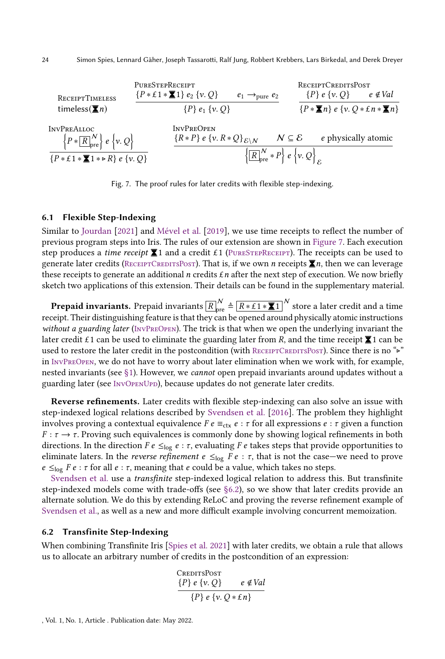<span id="page-23-2"></span>

<span id="page-23-5"></span><span id="page-23-4"></span><span id="page-23-3"></span>Fig. 7. The proof rules for later credits with flexible step-indexing.

#### <span id="page-23-0"></span>6.1 Flexible Step-Indexing

Similar to [Jourdan](#page-26-18) [\[2021\]](#page-26-18) and [Mével et al.](#page-26-19) [\[2019\]](#page-26-19), we use time receipts to reflect the number of previous program steps into Iris. The rules of our extension are shown in [Figure 7.](#page-23-2) Each execution step produces a *time receipt*  $\mathbf{\Sigma}1$  and a credit £1 (PURESTEPRECEIPT). The receipts can be used to generate later credits (RECEIPTCREDITSPOST). That is, if we own *n* receipts  $\mathbf{\Sigma}$ *n*, then we can leverage these receipts to generate an additional *n* credits  $\epsilon n$  after the next step of execution. We now briefly sketch two applications of this extension. Their details can be found in the supplementary material.

**Prepaid invariants.** Prepaid invariants  $\boxed{R}_{\text{pre}}^{N}$  $\frac{N}{p_{\text{pre}}}\triangleq\overline{\left[R * \pounds 1 * \blacksquare 1\right]}^{\mathcal{N}}$  store a later credit and a time receipt. Their distinguishing feature is that they can be opened around physically atomic instructions without a guarding later ( $\text{InvPREDEN}$ ). The trick is that when we open the underlying invariant the later credit £1 can be used to eliminate the guarding later from R, and the time receipt  $\sum$ 1 can be used to restore the later credit in the postcondition (with RECEIPTCREDITSPOST). Since there is no "►" in [InvPreOpen](#page-23-5), we do not have to worry about later elimination when we work with, for example, nested invariants (see [§1\)](#page-0-0). However, we cannot open prepaid invariants around updates without a guarding later (see INVOPENUPD), because updates do not generate later credits.

Reverse refinements. Later credits with flexible step-indexing can also solve an issue with step-indexed logical relations described by [Svendsen et al.](#page-27-3) [\[2016\]](#page-27-3). The problem they highlight involves proving a contextual equivalence  $Fe \equiv_{\text{ctx}} e : \tau$  for all expressions  $e : \tau$  given a function  $F: \tau \to \tau$ . Proving such equivalences is commonly done by showing logical refinements in both directions. In the direction  $Fe \leq_{log} e : \tau$ , evaluating  $Fe$  takes steps that provide opportunities to eliminate laters. In the *reverse refinement*  $e \leq_{\log} Fe : \tau$ , that is not the case—we need to prove  $e \leq_{\text{log}} F e : \tau$  for all  $e : \tau$ , meaning that  $e$  could be a value, which takes no steps.

[Svendsen et al.](#page-27-3) use a transfinite step-indexed logical relation to address this. But transfinite step-indexed models come with trade-offs (see [§6.2\)](#page-23-1), so we show that later credits provide an alternate solution. We do this by extending ReLoC and proving the reverse refinement example of [Svendsen et al.,](#page-27-3) as well as a new and more difficult example involving concurrent memoization.

## <span id="page-23-1"></span>6.2 Transfinite Step-Indexing

When combining Transfinite Iris [\[Spies et al.](#page-27-6) [2021\]](#page-27-6) with later credits, we obtain a rule that allows us to allocate an arbitrary number of credits in the postcondition of an expression:

<span id="page-23-6"></span>
$$
\frac{\text{CREDITSPost}}{\{P\} e \{v, Q\}} \quad e \notin Val
$$
\n
$$
\frac{\{P\} e \{v, Q * \mathcal{E} n\}}{\{P\} e \{v, Q * \mathcal{E} n\}}
$$

, Vol. 1, No. 1, Article . Publication date: May 2022.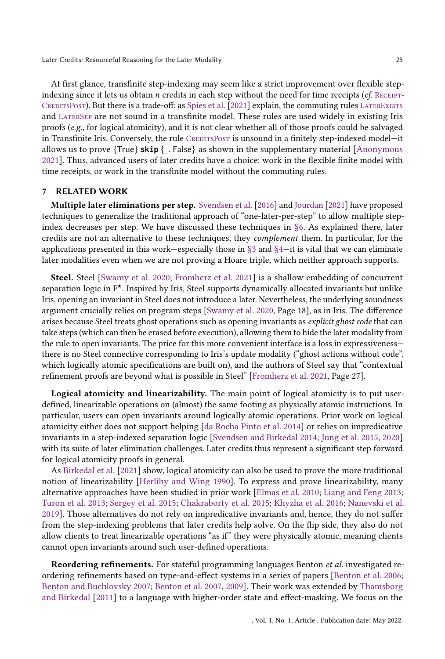At first glance, transfinite step-indexing may seem like a strict improvement over flexible stepindexing since it lets us obtain  $n$  credits in each step without the need for time receipts (*cf.* RECEIPT-CREDITSPOST). But there is a trade-off: as [Spies et al.](#page-27-6) [\[2021\]](#page-27-6) explain, the commuting rules LATEREXISTS and [LaterSep](#page-4-13) are not sound in a transfinite model. These rules are used widely in existing Iris proofs (e.g., for logical atomicity), and it is not clear whether all of those proofs could be salvaged in Transfinite Iris. Conversely, the rule CREDITSPOST is unsound in a finitely step-indexed model-it allows us to prove {True} **skip** { . False} as shown in the supplementary material [\[Anonymous](#page-25-10) [2021\]](#page-25-10). Thus, advanced users of later credits have a choice: work in the flexible finite model with time receipts, or work in the transfinite model without the commuting rules.

## 7 RELATED WORK

Multiple later eliminations per step. [Svendsen et al.](#page-27-3) [\[2016\]](#page-27-3) and [Jourdan](#page-26-18) [\[2021\]](#page-26-18) have proposed techniques to generalize the traditional approach of "one-later-per-step" to allow multiple stepindex decreases per step. We have discussed these techniques in [§6.](#page-22-0) As explained there, later credits are not an alternative to these techniques, they complement them. In particular, for the applications presented in this work—especially those in  $\S$ 3 and  $\S$ 4—it is vital that we can eliminate later modalities even when we are not proving a Hoare triple, which neither approach supports.

Steel. Steel [\[Swamy et al.](#page-27-7) [2020;](#page-27-7) [Fromherz et al.](#page-26-20) [2021\]](#page-26-20) is a shallow embedding of concurrent separation logic in F ★. Inspired by Iris, Steel supports dynamically allocated invariants but unlike Iris, opening an invariant in Steel does not introduce a later. Nevertheless, the underlying soundness argument crucially relies on program steps [\[Swamy et al.](#page-27-7) [2020,](#page-27-7) Page 18], as in Iris. The difference arises because Steel treats ghost operations such as opening invariants as explicit ghost code that can take steps (which can then be erased before execution), allowing them to hide the later modality from the rule to open invariants. The price for this more convenient interface is a loss in expressiveness there is no Steel connective corresponding to Iris's update modality ("ghost actions without code", which logically atomic specifications are built on), and the authors of Steel say that "contextual refinement proofs are beyond what is possible in Steel" [\[Fromherz et al.](#page-26-20) [2021,](#page-26-20) Page 27].

Logical atomicity and linearizability. The main point of logical atomicity is to put userdefined, linearizable operations on (almost) the same footing as physically atomic instructions. In particular, users can open invariants around logically atomic operations. Prior work on logical atomicity either does not support helping [\[da Rocha Pinto et al.](#page-25-11) [2014\]](#page-25-11) or relies on impredicative invariants in a step-indexed separation logic [\[Svendsen and Birkedal](#page-27-0) [2014;](#page-27-0) [Jung et al.](#page-26-4) [2015,](#page-26-4) [2020\]](#page-26-17) with its suite of later elimination challenges. Later credits thus represent a significant step forward for logical atomicity proofs in general.

As [Birkedal et al.](#page-25-12) [\[2021\]](#page-25-12) show, logical atomicity can also be used to prove the more traditional notion of linearizability [\[Herlihy and Wing](#page-26-16) [1990\]](#page-26-16). To express and prove linearizability, many alternative approaches have been studied in prior work [\[Elmas et al.](#page-26-21) [2010;](#page-26-21) [Liang and Feng](#page-26-22) [2013;](#page-26-22) [Turon et al.](#page-27-4) [2013;](#page-27-4) [Sergey et al.](#page-26-23) [2015;](#page-26-23) [Chakraborty et al.](#page-25-14) [2015;](#page-25-14) [Khyzha et al.](#page-26-24) [2016;](#page-26-24) [Nanevski et al.](#page-26-25) [2019\]](#page-26-25). Those alternatives do not rely on impredicative invariants and, hence, they do not suffer from the step-indexing problems that later credits help solve. On the flip side, they also do not allow clients to treat linearizable operations "as if" they were physically atomic, meaning clients cannot open invariants around such user-defined operations.

Reordering refinements. For stateful programming languages Benton et al. investigated reordering refinements based on type-and-effect systems in a series of papers [\[Benton et al.](#page-25-15) [2006;](#page-25-15) [Benton and Buchlovsky](#page-25-16) [2007;](#page-25-16) [Benton et al.](#page-25-17) [2007,](#page-25-17) [2009\]](#page-25-18). Their work was extended by [Thamsborg](#page-27-8) [and Birkedal](#page-27-8) [\[2011\]](#page-27-8) to a language with higher-order state and effect-masking. We focus on the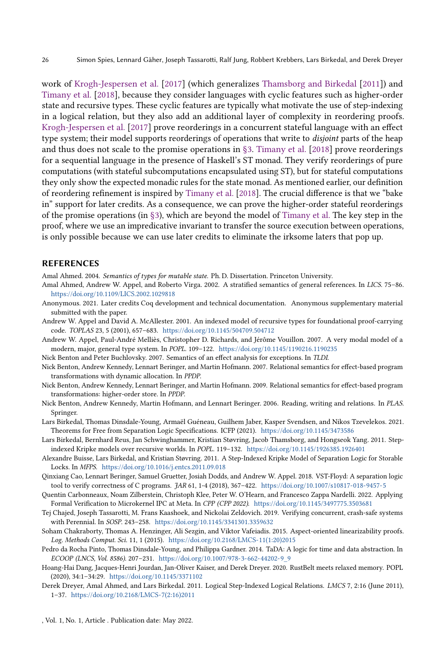work of [Krogh-Jespersen et al.](#page-26-12) [\[2017\]](#page-26-12) (which generalizes [Thamsborg and Birkedal](#page-27-8) [\[2011\]](#page-27-8)) and [Timany et al.](#page-27-2) [\[2018\]](#page-27-2), because they consider languages with cyclic features such as higher-order state and recursive types. These cyclic features are typically what motivate the use of step-indexing in a logical relation, but they also add an additional layer of complexity in reordering proofs. [Krogh-Jespersen et al.](#page-26-12) [\[2017\]](#page-26-12) prove reorderings in a concurrent stateful language with an effect type system; their model supports reorderings of operations that write to *disjoint* parts of the heap and thus does not scale to the promise operations in [§3.](#page-8-0) [Timany et al.](#page-27-2) [\[2018\]](#page-27-2) prove reorderings for a sequential language in the presence of Haskell's ST monad. They verify reorderings of pure computations (with stateful subcomputations encapsulated using ST), but for stateful computations they only show the expected monadic rules for the state monad. As mentioned earlier, our definition of reordering refinement is inspired by [Timany et al.](#page-27-2) [\[2018\]](#page-27-2). The crucial difference is that we "bake in" support for later credits. As a consequence, we can prove the higher-order stateful reorderings of the promise operations (in [§3\)](#page-8-0), which are beyond the model of [Timany et al.](#page-27-2) The key step in the proof, where we use an impredicative invariant to transfer the source execution between operations, is only possible because we can use later credits to eliminate the irksome laters that pop up.

## REFERENCES

<span id="page-25-2"></span>Amal Ahmed. 2004. Semantics of types for mutable state. Ph. D. Dissertation. Princeton University.

- <span id="page-25-1"></span>Amal Ahmed, Andrew W. Appel, and Roberto Virga. 2002. A stratified semantics of general references. In LICS. 75–86. <https://doi.org/10.1109/LICS.2002.1029818>
- <span id="page-25-10"></span>Anonymous. 2021. Later credits Coq development and technical documentation. Anonymous supplementary material submitted with the paper.
- <span id="page-25-0"></span>Andrew W. Appel and David A. McAllester. 2001. An indexed model of recursive types for foundational proof-carrying code. TOPLAS 23, 5 (2001), 657–683. <https://doi.org/10.1145/504709.504712>
- <span id="page-25-8"></span>Andrew W. Appel, Paul-André Melliès, Christopher D. Richards, and Jérôme Vouillon. 2007. A very modal model of a modern, major, general type system. In POPL. 109–122. <https://doi.org/10.1145/1190216.1190235>
- <span id="page-25-16"></span>Nick Benton and Peter Buchlovsky. 2007. Semantics of an effect analysis for exceptions. In TLDI.
- <span id="page-25-17"></span>Nick Benton, Andrew Kennedy, Lennart Beringer, and Martin Hofmann. 2007. Relational semantics for effect-based program transformations with dynamic allocation. In PPDP.
- <span id="page-25-18"></span>Nick Benton, Andrew Kennedy, Lennart Beringer, and Martin Hofmann. 2009. Relational semantics for effect-based program transformations: higher-order store. In PPDP.
- <span id="page-25-15"></span>Nick Benton, Andrew Kennedy, Martin Hofmann, and Lennart Beringer. 2006. Reading, writing and relations. In PLAS. Springer.
- <span id="page-25-12"></span>Lars Birkedal, Thomas Dinsdale-Young, Armaël Guéneau, Guilhem Jaber, Kasper Svendsen, and Nikos Tzevelekos. 2021. Theorems for Free from Separation Logic Specifications. ICFP (2021). <https://doi.org/10.1145/3473586>
- <span id="page-25-3"></span>Lars Birkedal, Bernhard Reus, Jan Schwinghammer, Kristian Støvring, Jacob Thamsborg, and Hongseok Yang. 2011. Stepindexed Kripke models over recursive worlds. In POPL. 119–132. <https://doi.org/10.1145/1926385.1926401>
- <span id="page-25-5"></span>Alexandre Buisse, Lars Birkedal, and Kristian Støvring. 2011. A Step-Indexed Kripke Model of Separation Logic for Storable Locks. In MFPS. <https://doi.org/10.1016/j.entcs.2011.09.018>
- <span id="page-25-4"></span>Qinxiang Cao, Lennart Beringer, Samuel Gruetter, Josiah Dodds, and Andrew W. Appel. 2018. VST-Floyd: A separation logic tool to verify correctness of C programs. JAR 61, 1-4 (2018), 367–422. <https://doi.org/10.1007/s10817-018-9457-5>
- <span id="page-25-13"></span>Quentin Carbonneaux, Noam Zilberstein, Christoph Klee, Peter W. O'Hearn, and Francesco Zappa Nardelli. 2022. Applying Formal Verification to Microkernel IPC at Meta. In CPP (CPP 2022). <https://doi.org/10.1145/3497775.3503681>
- <span id="page-25-7"></span>Tej Chajed, Joseph Tassarotti, M. Frans Kaashoek, and Nickolai Zeldovich. 2019. Verifying concurrent, crash-safe systems with Perennial. In SOSP. 243–258. <https://doi.org/10.1145/3341301.3359632>
- <span id="page-25-14"></span>Soham Chakraborty, Thomas A. Henzinger, Ali Sezgin, and Viktor Vafeiadis. 2015. Aspect-oriented linearizability proofs. Log. Methods Comput. Sci. 11, 1 (2015). [https://doi.org/10.2168/LMCS-11\(1:20\)2015](https://doi.org/10.2168/LMCS-11(1:20)2015)
- <span id="page-25-11"></span>Pedro da Rocha Pinto, Thomas Dinsdale-Young, and Philippa Gardner. 2014. TaDA: A logic for time and data abstraction. In ECOOP (LNCS, Vol. 8586). 207–231. [https://doi.org/10.1007/978-3-662-44202-9\\_9](https://doi.org/10.1007/978-3-662-44202-9_9)
- <span id="page-25-6"></span>Hoang-Hai Dang, Jacques-Henri Jourdan, Jan-Oliver Kaiser, and Derek Dreyer. 2020. RustBelt meets relaxed memory. POPL (2020), 34:1–34:29. <https://doi.org/10.1145/3371102>
- <span id="page-25-9"></span>Derek Dreyer, Amal Ahmed, and Lars Birkedal. 2011. Logical Step-Indexed Logical Relations. LMCS 7, 2:16 (June 2011), 1–37. [https://doi.org/10.2168/LMCS-7\(2:16\)2011](https://doi.org/10.2168/LMCS-7(2:16)2011)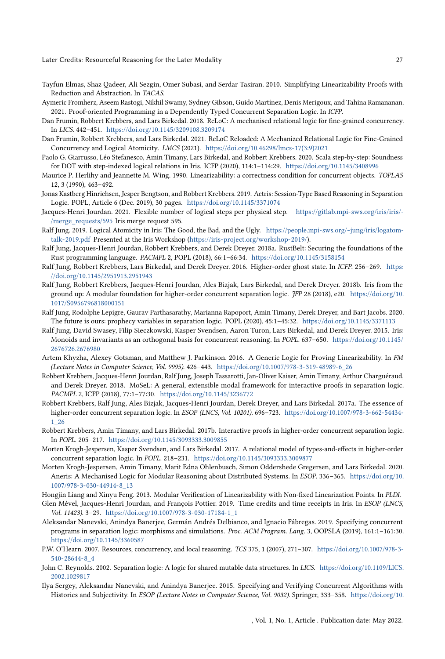- <span id="page-26-21"></span>Tayfun Elmas, Shaz Qadeer, Ali Sezgin, Omer Subasi, and Serdar Tasiran. 2010. Simplifying Linearizability Proofs with Reduction and Abstraction. In TACAS.
- <span id="page-26-20"></span>Aymeric Fromherz, Aseem Rastogi, Nikhil Swamy, Sydney Gibson, Guido Martínez, Denis Merigoux, and Tahina Ramananan. 2021. Proof-oriented Programming in a Dependently Typed Concurrent Separation Logic. In ICFP.
- <span id="page-26-10"></span>Dan Frumin, Robbert Krebbers, and Lars Birkedal. 2018. ReLoC: A mechanised relational logic for fine-grained concurrency. In LICS. 442–451. <https://doi.org/10.1145/3209108.3209174>
- <span id="page-26-11"></span>Dan Frumin, Robbert Krebbers, and Lars Birkedal. 2021. ReLoC Reloaded: A Mechanized Relational Logic for Fine-Grained Concurrency and Logical Atomicity. LMCS (2021). [https://doi.org/10.46298/lmcs-17\(3:9\)2021](https://doi.org/10.46298/lmcs-17(3:9)2021)
- <span id="page-26-0"></span>Paolo G. Giarrusso, Léo Stefanesco, Amin Timany, Lars Birkedal, and Robbert Krebbers. 2020. Scala step-by-step: Soundness for DOT with step-indexed logical relations in Iris. ICFP (2020), 114:1–114:29. <https://doi.org/10.1145/3408996>
- <span id="page-26-16"></span>Maurice P. Herlihy and Jeannette M. Wing. 1990. Linearizability: a correctness condition for concurrent objects. TOPLAS 12, 3 (1990), 463–492.
- <span id="page-26-8"></span>Jonas Kastberg Hinrichsen, Jesper Bengtson, and Robbert Krebbers. 2019. Actris: Session-Type Based Reasoning in Separation Logic. POPL, Article 6 (Dec. 2019), 30 pages. <https://doi.org/10.1145/3371074>
- <span id="page-26-18"></span>Jacques-Henri Jourdan. 2021. Flexible number of logical steps per physical step. [https://gitlab.mpi-sws.org/iris/iris/-](https://gitlab.mpi-sws.org/iris/iris/-/merge_requests/595) [/merge\\_requests/595](https://gitlab.mpi-sws.org/iris/iris/-/merge_requests/595) Iris merge request 595.
- <span id="page-26-13"></span>Ralf Jung. 2019. Logical Atomicity in Iris: The Good, the Bad, and the Ugly. [https://people.mpi-sws.org/~jung/iris/logatom](https://people.mpi-sws.org/~jung/iris/logatom-talk-2019.pdf)[talk-2019.pdf](https://people.mpi-sws.org/~jung/iris/logatom-talk-2019.pdf) Presented at the Iris Workshop [\(https://iris-project.org/workshop-2019/\)](https://iris-project.org/workshop-2019/).
- <span id="page-26-1"></span>Ralf Jung, Jacques-Henri Jourdan, Robbert Krebbers, and Derek Dreyer. 2018a. RustBelt: Securing the foundations of the Rust programming language. PACMPL 2, POPL (2018), 66:1–66:34. <https://doi.org/10.1145/3158154>
- <span id="page-26-5"></span>Ralf Jung, Robbert Krebbers, Lars Birkedal, and Derek Dreyer. 2016. Higher-order ghost state. In ICFP. 256–269. [https:](https://doi.org/10.1145/2951913.2951943) [//doi.org/10.1145/2951913.2951943](https://doi.org/10.1145/2951913.2951943)
- <span id="page-26-7"></span>Ralf Jung, Robbert Krebbers, Jacques-Henri Jourdan, Ales Bizjak, Lars Birkedal, and Derek Dreyer. 2018b. Iris from the ground up: A modular foundation for higher-order concurrent separation logic. JFP 28 (2018), e20. [https://doi.org/10.](https://doi.org/10.1017/S0956796818000151) [1017/S0956796818000151](https://doi.org/10.1017/S0956796818000151)
- <span id="page-26-17"></span>Ralf Jung, Rodolphe Lepigre, Gaurav Parthasarathy, Marianna Rapoport, Amin Timany, Derek Dreyer, and Bart Jacobs. 2020. The future is ours: prophecy variables in separation logic. POPL (2020), 45:1–45:32. <https://doi.org/10.1145/3371113>
- <span id="page-26-4"></span>Ralf Jung, David Swasey, Filip Sieczkowski, Kasper Svendsen, Aaron Turon, Lars Birkedal, and Derek Dreyer. 2015. Iris: Monoids and invariants as an orthogonal basis for concurrent reasoning. In POPL. 637–650. [https://doi.org/10.1145/](https://doi.org/10.1145/2676726.2676980) [2676726.2676980](https://doi.org/10.1145/2676726.2676980)
- <span id="page-26-24"></span>Artem Khyzha, Alexey Gotsman, and Matthew J. Parkinson. 2016. A Generic Logic for Proving Linearizability. In FM (Lecture Notes in Computer Science, Vol. 9995). 426–443. [https://doi.org/10.1007/978-3-319-48989-6\\_26](https://doi.org/10.1007/978-3-319-48989-6_26)
- <span id="page-26-15"></span>Robbert Krebbers, Jacques-Henri Jourdan, Ralf Jung, Joseph Tassarotti, Jan-Oliver Kaiser, Amin Timany, Arthur Charguéraud, and Derek Dreyer. 2018. MoSeL: A general, extensible modal framework for interactive proofs in separation logic. PACMPL 2, ICFP (2018), 77:1–77:30. <https://doi.org/10.1145/3236772>
- <span id="page-26-6"></span>Robbert Krebbers, Ralf Jung, Ales Bizjak, Jacques-Henri Jourdan, Derek Dreyer, and Lars Birkedal. 2017a. The essence of higher-order concurrent separation logic. In ESOP (LNCS, Vol. 10201). 696–723. [https://doi.org/10.1007/978-3-662-54434-](https://doi.org/10.1007/978-3-662-54434-1_26) [1\\_26](https://doi.org/10.1007/978-3-662-54434-1_26)
- <span id="page-26-14"></span>Robbert Krebbers, Amin Timany, and Lars Birkedal. 2017b. Interactive proofs in higher-order concurrent separation logic. In POPL. 205–217. <https://doi.org/10.1145/3093333.3009855>
- <span id="page-26-12"></span>Morten Krogh-Jespersen, Kasper Svendsen, and Lars Birkedal. 2017. A relational model of types-and-effects in higher-order concurrent separation logic. In POPL. 218–231. <https://doi.org/10.1145/3093333.3009877>
- <span id="page-26-9"></span>Morten Krogh-Jespersen, Amin Timany, Marit Edna Ohlenbusch, Simon Oddershede Gregersen, and Lars Birkedal. 2020. Aneris: A Mechanised Logic for Modular Reasoning about Distributed Systems. In ESOP. 336–365. [https://doi.org/10.](https://doi.org/10.1007/978-3-030-44914-8_13) [1007/978-3-030-44914-8\\_13](https://doi.org/10.1007/978-3-030-44914-8_13)
- <span id="page-26-22"></span><span id="page-26-19"></span>Hongjin Liang and Xinyu Feng. 2013. Modular Verification of Linearizability with Non-fixed Linearization Points. In PLDI. Glen Mével, Jacques-Henri Jourdan, and François Pottier. 2019. Time credits and time receipts in Iris. In ESOP (LNCS, Vol. 11423). 3–29. [https://doi.org/10.1007/978-3-030-17184-1\\_1](https://doi.org/10.1007/978-3-030-17184-1_1)
- <span id="page-26-25"></span>Aleksandar Nanevski, Anindya Banerjee, Germán Andrés Delbianco, and Ignacio Fábregas. 2019. Specifying concurrent programs in separation logic: morphisms and simulations. Proc. ACM Program. Lang. 3, OOPSLA (2019), 161:1–161:30. <https://doi.org/10.1145/3360587>
- <span id="page-26-3"></span>P.W. O'Hearn. 2007. Resources, concurrency, and local reasoning. TCS 375, 1 (2007), 271–307. [https://doi.org/10.1007/978-3-](https://doi.org/10.1007/978-3-540-28644-8_4) [540-28644-8\\_4](https://doi.org/10.1007/978-3-540-28644-8_4)
- <span id="page-26-2"></span>John C. Reynolds. 2002. Separation logic: A logic for shared mutable data structures. In LICS. [https://doi.org/10.1109/LICS.](https://doi.org/10.1109/LICS.2002.1029817) [2002.1029817](https://doi.org/10.1109/LICS.2002.1029817)
- <span id="page-26-23"></span>Ilya Sergey, Aleksandar Nanevski, and Anindya Banerjee. 2015. Specifying and Verifying Concurrent Algorithms with Histories and Subjectivity. In ESOP (Lecture Notes in Computer Science, Vol. 9032). Springer, 333–358. [https://doi.org/10.](https://doi.org/10.1007/978-3-662-46669-8_14)